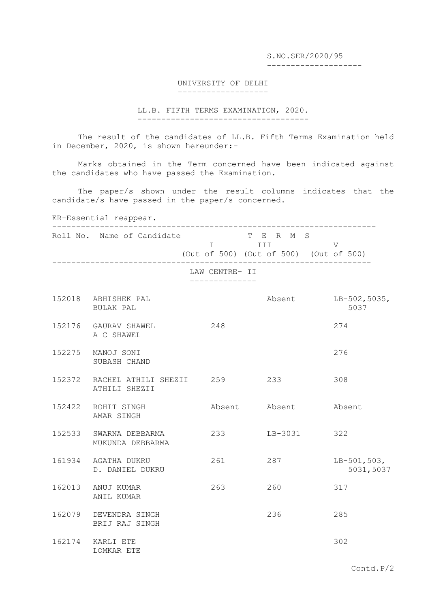S.NO.SER/2020/95 --------------------

## UNIVERSITY OF DELHI -------------------

## LL.B. FIFTH TERMS EXAMINATION, 2020. ------------------------------------

The result of the candidates of LL.B. Fifth Terms Examination held in December, 2020, is shown hereunder:-

Marks obtained in the Term concerned have been indicated against the candidates who have passed the Examination.

The paper/s shown under the result columns indicates that the candidate/s have passed in the paper/s concerned.

## ER-Essential reappear.

| Roll No. Name of Candidate T E R M S<br>I III<br>------------------------- |                | (Out of 500) (Out of 500) (Out of 500)<br>------------------------------------ | V                            |
|----------------------------------------------------------------------------|----------------|--------------------------------------------------------------------------------|------------------------------|
|                                                                            | LAW CENTRE- II |                                                                                |                              |
| 152018 ABHISHEK PAL<br>BULAK PAL                                           |                |                                                                                | Absent LB-502, 5035,<br>5037 |
| 152176 GAURAV SHAWEL<br>A C SHAWEL                                         | 248            |                                                                                | 274                          |
| 152275 MANOJ SONI<br>SUBASH CHAND                                          |                |                                                                                | 276                          |
| 152372 RACHEL ATHILI SHEZII 259<br>ATHILI SHEZII                           |                | 233                                                                            | 308                          |
| 152422 ROHIT SINGH<br>AMAR SINGH                                           |                | Absent Absent                                                                  | Absent                       |
| 152533 SWARNA DEBBARMA<br>MUKUNDA DEBBARMA                                 | 233            | $LB-3031$                                                                      | 322                          |
| 161934 AGATHA DUKRU<br>D. DANIEL DUKRU                                     | 261            | 287                                                                            | $LB-501,503,$<br>5031,5037   |
| 162013 ANUJ KUMAR<br>ANIL KUMAR                                            | 263            | 260                                                                            | 317                          |
| 162079 DEVENDRA SINGH<br>BRIJ RAJ SINGH                                    |                | 236                                                                            | 285                          |
| 162174 KARLI ETE<br>LOMKAR ETE                                             |                |                                                                                | 302                          |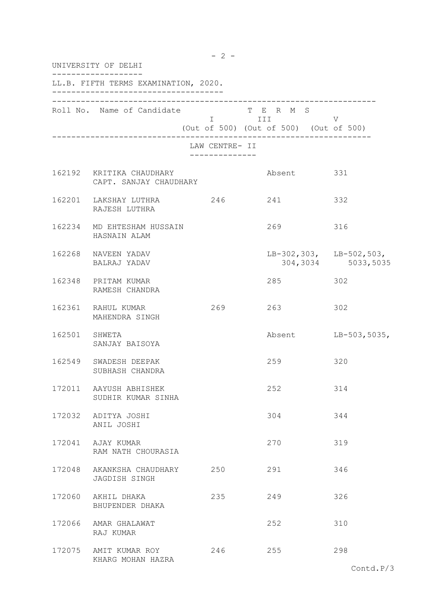|        | UNIVERSITY OF DELHI                                                        |                |                                                   |                                                   |  |
|--------|----------------------------------------------------------------------------|----------------|---------------------------------------------------|---------------------------------------------------|--|
|        | LL.B. FIFTH TERMS EXAMINATION, 2020.<br>__________________________________ |                |                                                   |                                                   |  |
|        | Roll No. Name of Candidate T E R M S                                       |                | I III V<br>(Out of 500) (Out of 500) (Out of 500) |                                                   |  |
|        |                                                                            | LAW CENTRE- II |                                                   |                                                   |  |
|        | 162192 KRITIKA CHAUDHARY<br>CAPT. SANJAY CHAUDHARY                         |                | Absent 331                                        |                                                   |  |
|        | 162201 LAKSHAY LUTHRA 246 241<br>RAJESH LUTHRA                             |                |                                                   | 332                                               |  |
|        | 162234 MD EHTESHAM HUSSAIN<br>HASNAIN ALAM                                 |                | 269                                               | 316                                               |  |
|        | 162268 NAVEEN YADAV<br>BALRAJ YADAV                                        |                |                                                   | LB-302, 303, LB-502, 503,<br>304, 3034 5033, 5035 |  |
|        | 162348 PRITAM KUMAR<br>RAMESH CHANDRA                                      |                | 285                                               | 302                                               |  |
|        | 162361 RAHUL KUMAR<br>MAHENDRA SINGH                                       | 269            | 263                                               | 302                                               |  |
|        | 162501 SHWETA<br>SANJAY BAISOYA                                            |                | Absent                                            | $LB-503,5035,$                                    |  |
|        | 162549 SWADESH DEEPAK<br>SUBHASH CHANDRA                                   |                | 259                                               | 320                                               |  |
|        | 172011 AAYUSH ABHISHEK<br>SUDHIR KUMAR SINHA                               |                | 252                                               | 314                                               |  |
|        | 172032 ADITYA JOSHI<br>ANIL JOSHI                                          |                | 304                                               | 344                                               |  |
|        | 172041 AJAY KUMAR<br>RAM NATH CHOURASIA                                    |                | 270                                               | 319                                               |  |
| 172048 | AKANKSHA CHAUDHARY 250<br>JAGDISH SINGH                                    |                | 291                                               | 346                                               |  |
|        | 172060 AKHIL DHAKA<br>BHUPENDER DHAKA                                      | 235            | 249                                               | 326                                               |  |
|        | 172066 AMAR GHALAWAT<br>RAJ KUMAR                                          |                | 252                                               | 310                                               |  |
|        | 172075 AMIT KUMAR ROY<br>KHARG MOHAN HAZRA                                 | 246            | 255                                               | 298                                               |  |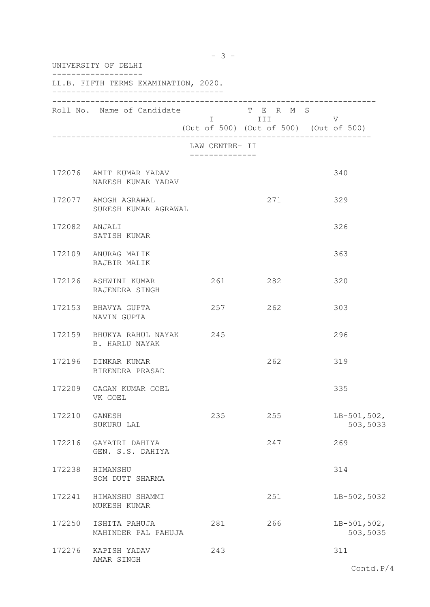| UNIVERSITY OF DELHI |                                                 |                                               |                                                                                                                                                                                 |                           |
|---------------------|-------------------------------------------------|-----------------------------------------------|---------------------------------------------------------------------------------------------------------------------------------------------------------------------------------|---------------------------|
|                     | LL.B. FIFTH TERMS EXAMINATION, 2020.            |                                               |                                                                                                                                                                                 |                           |
|                     | Roll No. Name of Candidate                      |                                               | T E R M S<br>i i statistik i statistik i statistik i statistik i statistik i statistik i statistik i statistik i statistik<br>Dogodki<br>(Out of 500) (Out of 500) (Out of 500) | V                         |
|                     |                                                 | LAW CENTRE- II<br>. _ _ _ _ _ _ _ _ _ _ _ _ _ |                                                                                                                                                                                 |                           |
|                     | 172076 AMIT KUMAR YADAV<br>NARESH KUMAR YADAV   |                                               |                                                                                                                                                                                 | 340                       |
|                     | 172077 AMOGH AGRAWAL<br>SURESH KUMAR AGRAWAL    |                                               | 271                                                                                                                                                                             | 329                       |
| 172082 ANJALI       | SATISH KUMAR                                    |                                               |                                                                                                                                                                                 | 326                       |
|                     | 172109 ANURAG MALIK<br>RAJBIR MALIK             |                                               |                                                                                                                                                                                 | 363                       |
|                     | 172126 ASHWINI KUMAR<br>RAJENDRA SINGH          | 261                                           | 282                                                                                                                                                                             | 320                       |
|                     | 172153 BHAVYA GUPTA<br>NAVIN GUPTA              | 257                                           | 262                                                                                                                                                                             | 303                       |
|                     | 172159 BHUKYA RAHUL NAYAK 245<br>B. HARLU NAYAK |                                               |                                                                                                                                                                                 | 296                       |
|                     | 172196 DINKAR KUMAR<br>BIRENDRA PRASAD          |                                               | 262                                                                                                                                                                             | 319                       |
| 172209              | GAGAN KUMAR GOEL<br>VK GOEL                     |                                               |                                                                                                                                                                                 | 335                       |
| 172210 GANESH       | SUKURU LAL                                      | 235                                           | 255                                                                                                                                                                             | $LB-501,502,$<br>503,5033 |
|                     | 172216 GAYATRI DAHIYA<br>GEN. S.S. DAHIYA       |                                               | 247                                                                                                                                                                             | 269                       |
| 172238              | HIMANSHU<br>SOM DUTT SHARMA                     |                                               |                                                                                                                                                                                 | 314                       |
| 172241              | HIMANSHU SHAMMI<br>MUKESH KUMAR                 |                                               | 251                                                                                                                                                                             | $LB-502,5032$             |
| 172250              | ISHITA PAHUJA<br>MAHINDER PAL PAHUJA            | 281                                           | 266                                                                                                                                                                             | $LB-501,502,$<br>503,5035 |
|                     | 172276 KAPISH YADAV<br>AMAR SINGH               | 243                                           |                                                                                                                                                                                 | 311                       |

 $- 3 -$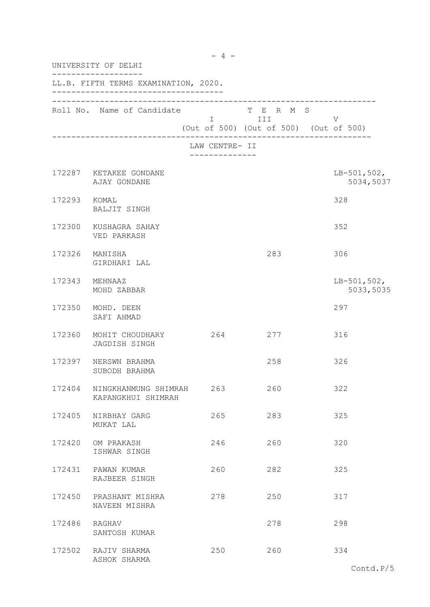| UNIVERSITY OF DELHI |                                            |                                 |                                                              |                            |
|---------------------|--------------------------------------------|---------------------------------|--------------------------------------------------------------|----------------------------|
|                     | LL.B. FIFTH TERMS EXAMINATION, 2020.       |                                 |                                                              |                            |
|                     | Roll No. Name of Candidate                 |                                 | T E R M S<br>I III<br>(Out of 500) (Out of 500) (Out of 500) | V                          |
|                     |                                            | LAW CENTRE- II<br>------------- |                                                              |                            |
|                     | 172287 KETAKEE GONDANE<br>AJAY GONDANE     |                                 |                                                              | $LB-501,502,$<br>5034,5037 |
| 172293 KOMAL        | BALJIT SINGH                               |                                 |                                                              | 328                        |
|                     | 172300 KUSHAGRA SAHAY<br>VED PARKASH       |                                 |                                                              | 352                        |
|                     | 172326 MANISHA<br>GIRDHARI LAL             |                                 | 283                                                          | 306                        |
|                     | 172343 MEHNAAZ<br>MOHD ZABBAR              |                                 |                                                              | $LB-501,502,$<br>5033,5035 |
|                     | 172350 MOHD. DEEN<br>SAFI AHMAD            |                                 |                                                              | 297                        |
|                     | 172360 MOHIT CHOUDHARY<br>JAGDISH SINGH    | 264 277                         |                                                              | 316                        |
|                     | 172397 NERSWN BRAHMA<br>SUBODH BRAHMA      |                                 | 258                                                          | 326                        |
| 172404              | NINGKHANMUNG SHIMRAH<br>KAPANGKHUI SHIMRAH | 263                             | 260                                                          | 322                        |
| 172405              | NIRBHAY GARG<br>MUKAT LAL                  | 265                             | 283                                                          | 325                        |
|                     | 172420 OM PRAKASH<br>ISHWAR SINGH          | 246                             | 260                                                          | 320                        |
| 172431              | PAWAN KUMAR<br>RAJBEER SINGH               | 260                             | 282                                                          | 325                        |
| 172450              | PRASHANT MISHRA<br>NAVEEN MISHRA           | 278                             | 250                                                          | 317                        |
| 172486 RAGHAV       | SANTOSH KUMAR                              |                                 | 278                                                          | 298                        |
|                     | 172502 RAJIV SHARMA<br>ASHOK SHARMA        | 250                             | 260                                                          | 334                        |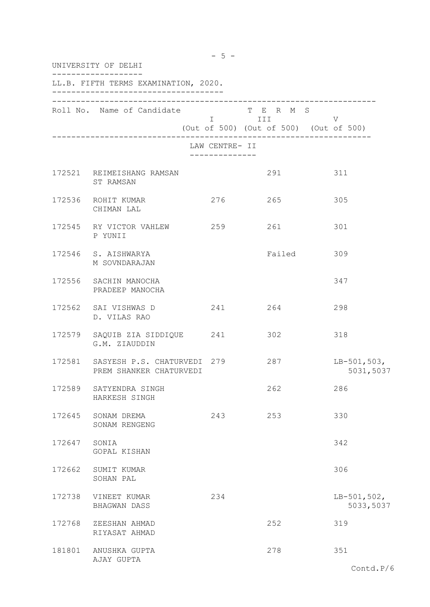|        | UNIVERSITY OF DELHI                                           |                |                                                                     |                            |  |  |
|--------|---------------------------------------------------------------|----------------|---------------------------------------------------------------------|----------------------------|--|--|
|        | LL.B. FIFTH TERMS EXAMINATION, 2020.                          |                |                                                                     |                            |  |  |
|        | Roll No. Name of Candidate                                    |                | T E R M S<br><b>I</b> III<br>(Out of 500) (Out of 500) (Out of 500) | V                          |  |  |
|        |                                                               | LAW CENTRE- II |                                                                     |                            |  |  |
|        | 172521 REIMEISHANG RAMSAN<br>ST RAMSAN                        |                | 291                                                                 | 311                        |  |  |
|        | 172536 ROHIT KUMAR<br>CHIMAN LAL                              | 276            | 265                                                                 | 305                        |  |  |
|        | 172545 RY VICTOR VAHLEW 259 261<br>P YUNII                    |                |                                                                     | 301                        |  |  |
|        | 172546 S. AISHWARYA<br>M SOVNDARAJAN                          |                | Failed 309                                                          |                            |  |  |
|        | 172556 SACHIN MANOCHA<br>PRADEEP MANOCHA                      |                |                                                                     | 347                        |  |  |
|        | 172562 SAI VISHWAS D<br>D. VILAS RAO                          |                | 241 264                                                             | 298                        |  |  |
|        | 172579 SAQUIB ZIA SIDDIQUE 241 302<br>G.M. ZIAUDDIN           |                |                                                                     | 318                        |  |  |
|        | 172581 SASYESH P.S. CHATURVEDI 279<br>PREM SHANKER CHATURVEDI |                | 287                                                                 | $LB-501,503,$<br>5031,5037 |  |  |
| 172589 | SATYENDRA SINGH<br>HARKESH SINGH                              |                | 262                                                                 | 286                        |  |  |
|        | 172645 SONAM DREMA<br>SONAM RENGENG                           | 243            | 253                                                                 | 330                        |  |  |
| 172647 | SONIA<br>GOPAL KISHAN                                         |                |                                                                     | 342                        |  |  |
|        | 172662 SUMIT KUMAR<br>SOHAN PAL                               |                |                                                                     | 306                        |  |  |
| 172738 | VINEET KUMAR<br>BHAGWAN DASS                                  | 234            |                                                                     | $LB-501,502,$<br>5033,5037 |  |  |
| 172768 | ZEESHAN AHMAD<br>RIYASAT AHMAD                                |                | 252                                                                 | 319                        |  |  |
|        | 181801 ANUSHKA GUPTA<br>AJAY GUPTA                            |                | 278                                                                 | 351                        |  |  |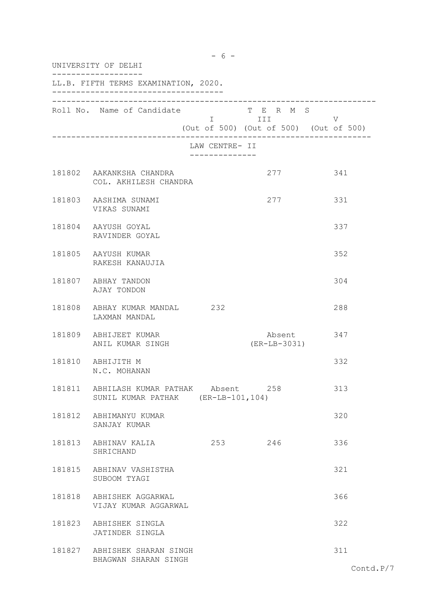| UNIVERSITY OF DELHI |                                                             |                                               |                                                                   |            |
|---------------------|-------------------------------------------------------------|-----------------------------------------------|-------------------------------------------------------------------|------------|
|                     | LL.B. FIFTH TERMS EXAMINATION, 2020.                        |                                               |                                                                   |            |
|                     | Roll No. Name of Candidate                                  |                                               | T E R M S<br>I III DATU<br>(Out of 500) (Out of 500) (Out of 500) | V          |
|                     |                                                             | LAW CENTRE- II<br>. _ _ _ _ _ _ _ _ _ _ _ _ _ |                                                                   |            |
|                     | 181802 AAKANKSHA CHANDRA<br>COL. AKHILESH CHANDRA           |                                               | 277                                                               | 341        |
|                     | 181803 AASHIMA SUNAMI<br>VIKAS SUNAMI                       |                                               | 277                                                               | 331        |
|                     | 181804 AAYUSH GOYAL<br>RAVINDER GOYAL                       |                                               |                                                                   | 337        |
|                     | 181805 AAYUSH KUMAR<br>RAKESH KANAUJIA                      |                                               |                                                                   | 352        |
|                     | 181807 ABHAY TANDON<br>AJAY TONDON                          |                                               |                                                                   | 304        |
|                     | 181808 ABHAY KUMAR MANDAL 232<br>LAXMAN MANDAL              |                                               |                                                                   | 288        |
|                     | 181809 ABHIJEET KUMAR<br>ANIL KUMAR SINGH                   |                                               | $(ER-LB-3031)$                                                    | Absent 347 |
|                     | 181810 ABHIJITH M<br>N.C. MOHANAN                           |                                               |                                                                   | 332        |
| 181811              | ABHILASH KUMAR PATHAK<br>SUNIL KUMAR PATHAK (ER-LB-101,104) | Absent                                        | 258                                                               | 313        |
|                     | 181812 ABHIMANYU KUMAR<br>SANJAY KUMAR                      |                                               |                                                                   | 320        |
|                     | 181813 ABHINAV KALIA<br>SHRICHAND                           | 253                                           | 246                                                               | 336        |
|                     | 181815 ABHINAV VASHISTHA<br>SUBOOM TYAGI                    |                                               |                                                                   | 321        |
|                     | 181818 ABHISHEK AGGARWAL<br>VIJAY KUMAR AGGARWAL            |                                               |                                                                   | 366        |
|                     | 181823 ABHISHEK SINGLA<br>JATINDER SINGLA                   |                                               |                                                                   | 322        |
|                     | 181827 ABHISHEK SHARAN SINGH<br>BHAGWAN SHARAN SINGH        |                                               |                                                                   | 311        |

 $- 6 -$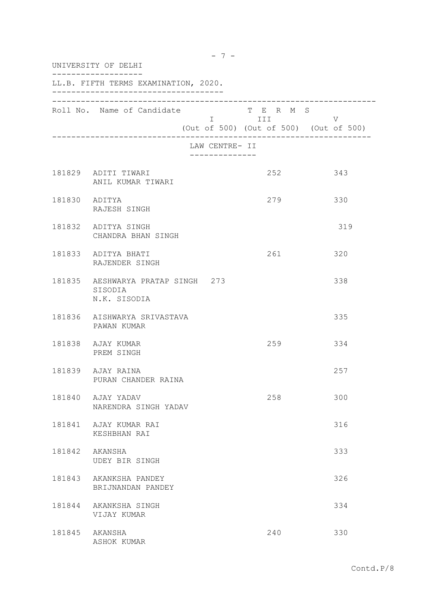| UNIVERSITY OF DELHI |                                                              |                                                 |                                                                                                                                                                       |     |
|---------------------|--------------------------------------------------------------|-------------------------------------------------|-----------------------------------------------------------------------------------------------------------------------------------------------------------------------|-----|
|                     | LL.B. FIFTH TERMS EXAMINATION, 2020.                         |                                                 |                                                                                                                                                                       |     |
|                     | Roll No. Name of Candidate                                   |                                                 | T E R M S<br>in the state of the state of the state of the state of the state of the state of the state of the state of the<br>(Out of 500) (Out of 500) (Out of 500) | V   |
|                     |                                                              | LAW CENTRE- II<br>. _ _ _ _ _ _ _ _ _ _ _ _ _ _ |                                                                                                                                                                       |     |
|                     | 181829 ADITI TIWARI<br>ANIL KUMAR TIWARI                     |                                                 | 252                                                                                                                                                                   | 343 |
|                     | 181830 ADITYA<br>RAJESH SINGH                                |                                                 | 279                                                                                                                                                                   | 330 |
|                     | 181832 ADITYA SINGH<br>CHANDRA BHAN SINGH                    |                                                 |                                                                                                                                                                       | 319 |
|                     | 181833 ADITYA BHATI<br>RAJENDER SINGH                        |                                                 | 261                                                                                                                                                                   | 320 |
|                     | 181835 AESHWARYA PRATAP SINGH 273<br>SISODIA<br>N.K. SISODIA |                                                 |                                                                                                                                                                       | 338 |
|                     | 181836 AISHWARYA SRIVASTAVA<br>PAWAN KUMAR                   |                                                 |                                                                                                                                                                       | 335 |
|                     | 181838 AJAY KUMAR<br>PREM SINGH                              |                                                 | 259                                                                                                                                                                   | 334 |
|                     | 181839 AJAY RAINA<br>PURAN CHANDER RAINA                     |                                                 |                                                                                                                                                                       | 257 |
|                     | 181840 AJAY YADAV<br>NARENDRA SINGH YADAV                    |                                                 | 258                                                                                                                                                                   | 300 |
|                     | 181841 AJAY KUMAR RAI<br>KESHBHAN RAI                        |                                                 |                                                                                                                                                                       | 316 |
|                     | 181842 AKANSHA<br>UDEY BIR SINGH                             |                                                 |                                                                                                                                                                       | 333 |
|                     | 181843 AKANKSHA PANDEY<br>BRIJNANDAN PANDEY                  |                                                 |                                                                                                                                                                       | 326 |
|                     | 181844 AKANKSHA SINGH<br>VIJAY KUMAR                         |                                                 |                                                                                                                                                                       | 334 |
|                     | 181845 AKANSHA<br>ASHOK KUMAR                                |                                                 | 240                                                                                                                                                                   | 330 |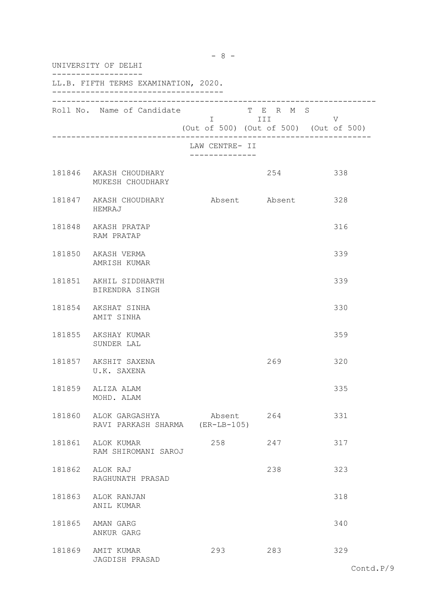| UNIVERSITY OF DELHI |                                                          |                                        |           |     |
|---------------------|----------------------------------------------------------|----------------------------------------|-----------|-----|
|                     | LL.B. FIFTH TERMS EXAMINATION, 2020.                     |                                        |           |     |
|                     | Roll No. Name of Candidate                               | (Out of 500) (Out of 500) (Out of 500) | T E R M S | V   |
|                     |                                                          | LAW CENTRE- II                         |           |     |
|                     | 181846 AKASH CHOUDHARY<br>MUKESH CHOUDHARY               |                                        | 254       | 338 |
|                     | 181847 AKASH CHOUDHARY Absent Absent 328<br>HEMRAJ       |                                        |           |     |
|                     | 181848 AKASH PRATAP<br>RAM PRATAP                        |                                        |           | 316 |
|                     | 181850 AKASH VERMA<br>AMRISH KUMAR                       |                                        |           | 339 |
|                     | 181851 AKHIL SIDDHARTH<br>BIRENDRA SINGH                 |                                        |           | 339 |
|                     | 181854 AKSHAT SINHA<br>AMIT SINHA                        |                                        |           | 330 |
|                     | 181855 AKSHAY KUMAR<br>SUNDER LAL                        |                                        |           | 359 |
|                     | 181857 AKSHIT SAXENA<br>U.K. SAXENA                      |                                        | 269       | 320 |
|                     | 181859 ALIZA ALAM<br>MOHD. ALAM                          |                                        |           | 335 |
|                     | 181860 ALOK GARGASHYA<br>RAVI PARKASH SHARMA (ER-LB-105) | Absent 264                             |           | 331 |
|                     | 181861 ALOK KUMAR<br>RAM SHIROMANI SAROJ                 | 258                                    | 247       | 317 |
|                     | 181862 ALOK RAJ<br>RAGHUNATH PRASAD                      |                                        | 238       | 323 |
|                     | 181863 ALOK RANJAN<br>ANIL KUMAR                         |                                        |           | 318 |
|                     | 181865 AMAN GARG<br>ANKUR GARG                           |                                        |           | 340 |
|                     | 181869 AMIT KUMAR<br>JAGDISH PRASAD                      | 293                                    | 283       | 329 |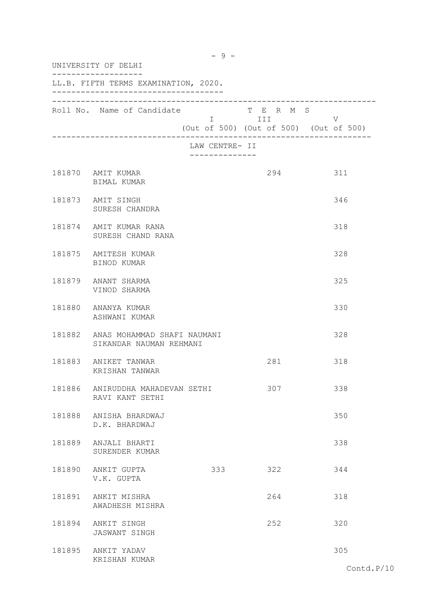| UNIVERSITY OF DELHI |                                                               |                                 |                                                                |     |
|---------------------|---------------------------------------------------------------|---------------------------------|----------------------------------------------------------------|-----|
|                     | LL.B. FIFTH TERMS EXAMINATION, 2020.                          |                                 |                                                                |     |
|                     | Roll No. Name of Candidate                                    |                                 | T E R M S<br>I III V<br>(Out of 500) (Out of 500) (Out of 500) |     |
|                     |                                                               | LAW CENTRE- II<br>------------- |                                                                |     |
|                     | 181870 AMIT KUMAR<br>BIMAL KUMAR                              |                                 | 294                                                            | 311 |
|                     | 181873 AMIT SINGH<br>SURESH CHANDRA                           |                                 |                                                                | 346 |
|                     | 181874 AMIT KUMAR RANA<br>SURESH CHAND RANA                   |                                 |                                                                | 318 |
|                     | 181875 AMITESH KUMAR<br>BINOD KUMAR                           |                                 |                                                                | 328 |
|                     | 181879 ANANT SHARMA<br>VINOD SHARMA                           |                                 |                                                                | 325 |
|                     | 181880 ANANYA KUMAR<br>ASHWANI KUMAR                          |                                 |                                                                | 330 |
|                     | 181882 ANAS MOHAMMAD SHAFI NAUMANI<br>SIKANDAR NAUMAN REHMANI |                                 |                                                                | 328 |
|                     | 181883 ANIKET TANWAR<br>KRISHAN TANWAR                        |                                 | 281                                                            | 318 |
| 181886              | ANIRUDDHA MAHADEVAN SETHI<br>RAVI KANT SETHI                  |                                 | 307                                                            | 338 |
|                     | 181888 ANISHA BHARDWAJ<br>D.K. BHARDWAJ                       |                                 |                                                                | 350 |
|                     | 181889 ANJALI BHARTI<br>SURENDER KUMAR                        |                                 |                                                                | 338 |
|                     | 181890 ANKIT GUPTA<br>V.K. GUPTA                              | 333                             | 322                                                            | 344 |
|                     | 181891 ANKIT MISHRA<br>AWADHESH MISHRA                        |                                 | 264                                                            | 318 |
|                     | 181894 ANKIT SINGH<br><b>JASWANT SINGH</b>                    |                                 | 252                                                            | 320 |
|                     | 181895 ANKIT YADAV<br>KRISHAN KUMAR                           |                                 |                                                                | 305 |

 $- 9 -$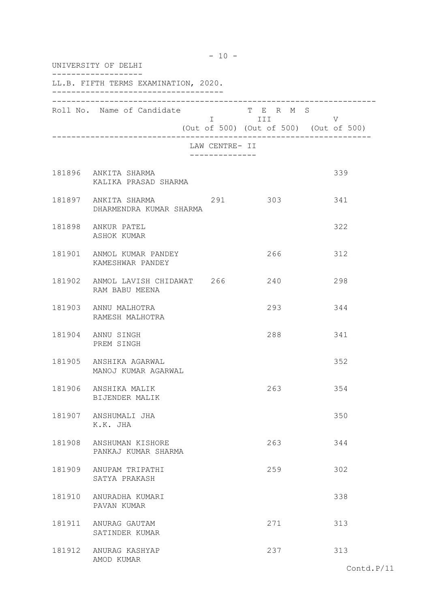|        | UNIVERSITY OF DELHI                                 |                                  |                                                                                                                            |                                             |
|--------|-----------------------------------------------------|----------------------------------|----------------------------------------------------------------------------------------------------------------------------|---------------------------------------------|
|        | LL.B. FIFTH TERMS EXAMINATION, 2020.                |                                  |                                                                                                                            |                                             |
|        | Roll No. Name of Candidate                          |                                  | T E R M S<br>I III DA SANTA DE LA TITULA DE LA CATALLA DE LA CATALLA DE LA CATALLA DE LA CATALLA DE LA CATALLA DE LA CATAL | V<br>(Out of 500) (Out of 500) (Out of 500) |
|        |                                                     | LAW CENTRE- II<br>-------------- |                                                                                                                            |                                             |
|        | 181896 ANKITA SHARMA<br>KALIKA PRASAD SHARMA        |                                  |                                                                                                                            | 339                                         |
|        | 181897 ANKITA SHARMA 291<br>DHARMENDRA KUMAR SHARMA |                                  | 303                                                                                                                        | 341                                         |
|        | 181898 ANKUR PATEL<br>ASHOK KUMAR                   |                                  |                                                                                                                            | 322                                         |
|        | 181901 ANMOL KUMAR PANDEY<br>KAMESHWAR PANDEY       |                                  | 266                                                                                                                        | 312                                         |
|        | 181902 ANMOL LAVISH CHIDAWAT 266<br>RAM BABU MEENA  |                                  | 240                                                                                                                        | 298                                         |
|        | 181903 ANNU MALHOTRA<br>RAMESH MALHOTRA             |                                  | 293                                                                                                                        | 344                                         |
|        | 181904 ANNU SINGH<br>PREM SINGH                     |                                  | 288                                                                                                                        | 341                                         |
|        | 181905 ANSHIKA AGARWAL<br>MANOJ KUMAR AGARWAL       |                                  |                                                                                                                            | 352                                         |
| 181906 | ANSHIKA MALIK<br>BIJENDER MALIK                     |                                  | 263                                                                                                                        | 354                                         |
|        | 181907 ANSHUMALI JHA<br>K.K. JHA                    |                                  |                                                                                                                            | 350                                         |
|        | 181908 ANSHUMAN KISHORE<br>PANKAJ KUMAR SHARMA      |                                  | 263                                                                                                                        | 344                                         |
|        | 181909 ANUPAM TRIPATHI<br>SATYA PRAKASH             |                                  | 259                                                                                                                        | 302                                         |
|        | 181910 ANURADHA KUMARI<br>PAVAN KUMAR               |                                  |                                                                                                                            | 338                                         |
|        | 181911 ANURAG GAUTAM<br>SATINDER KUMAR              |                                  | 271                                                                                                                        | 313                                         |
|        | 181912 ANURAG KASHYAP<br>AMOD KUMAR                 |                                  | 237                                                                                                                        | 313                                         |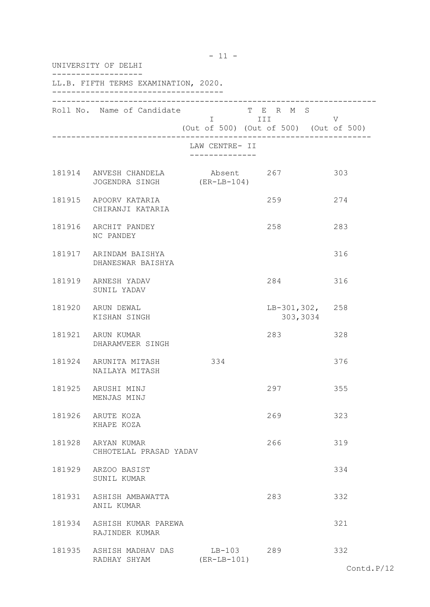|        | UNIVERSITY OF DELHI                          |                                                                                                                                                         |                                |     |  |
|--------|----------------------------------------------|---------------------------------------------------------------------------------------------------------------------------------------------------------|--------------------------------|-----|--|
|        | LL.B. FIFTH TERMS EXAMINATION, 2020.         |                                                                                                                                                         |                                |     |  |
|        | Roll No. Name of Candidate                   | I III DA SANTA DE LA TITULA DE LA CATALLA DE LA CATALLA DE LA CATALLA DE LA CATALLA DE LA CATALLA DE LA CATAL<br>(Out of 500) (Out of 500) (Out of 500) | T E R M S                      | V   |  |
|        |                                              | LAW CENTRE- II                                                                                                                                          |                                |     |  |
|        | 181914 ANVESH CHANDELA<br>JOGENDRA SINGH     | Absent 267<br>$(ER-LB-104)$                                                                                                                             |                                | 303 |  |
|        | 181915 APOORV KATARIA<br>CHIRANJI KATARIA    |                                                                                                                                                         | 259                            | 274 |  |
|        | 181916 ARCHIT PANDEY<br>NC PANDEY            |                                                                                                                                                         | 258                            | 283 |  |
|        | 181917 ARINDAM BAISHYA<br>DHANESWAR BAISHYA  |                                                                                                                                                         |                                | 316 |  |
|        | 181919 ARNESH YADAV<br>SUNIL YADAV           |                                                                                                                                                         | 284                            | 316 |  |
|        | 181920 ARUN DEWAL<br>KISHAN SINGH            |                                                                                                                                                         | $LB-301, 302, 258$<br>303,3034 |     |  |
|        | 181921 ARUN KUMAR<br>DHARAMVEER SINGH        |                                                                                                                                                         | 283                            | 328 |  |
|        | 181924 ARUNITA MITASH<br>NAILAYA MITASH      | 334                                                                                                                                                     |                                | 376 |  |
| 181925 | ARUSHI MINJ<br>MENJAS MINJ                   |                                                                                                                                                         | 297                            | 355 |  |
|        | 181926 ARUTE KOZA<br>KHAPE KOZA              |                                                                                                                                                         | 269                            | 323 |  |
|        | 181928 ARYAN KUMAR<br>CHHOTELAL PRASAD YADAV |                                                                                                                                                         | 266                            | 319 |  |
|        | 181929 ARZOO BASIST<br>SUNIL KUMAR           |                                                                                                                                                         |                                | 334 |  |
|        | 181931 ASHISH AMBAWATTA<br>ANIL KUMAR        |                                                                                                                                                         | 283                            | 332 |  |
|        | 181934 ASHISH KUMAR PAREWA<br>RAJINDER KUMAR |                                                                                                                                                         |                                | 321 |  |
|        | 181935 ASHISH MADHAV DAS<br>RADHAY SHYAM     | LB-103 289<br>$(ER-LB-101)$                                                                                                                             |                                | 332 |  |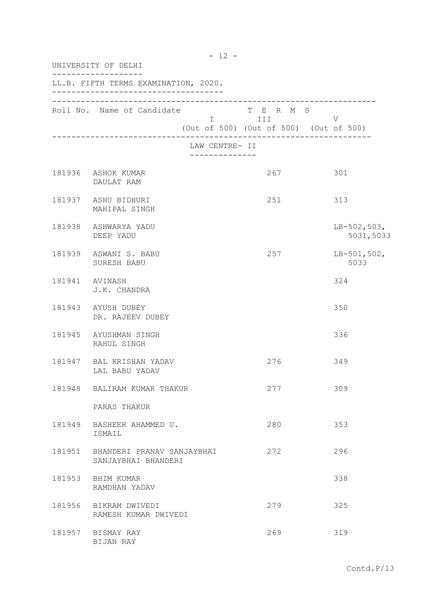| UNIVERSITY OF DELHI |                                                          |                                               |                                                                   |                            |
|---------------------|----------------------------------------------------------|-----------------------------------------------|-------------------------------------------------------------------|----------------------------|
|                     | LL.B. FIFTH TERMS EXAMINATION, 2020.                     |                                               |                                                                   |                            |
|                     | Roll No. Name of Candidate                               |                                               | T E R M S<br>I III DATU<br>(Out of 500) (Out of 500) (Out of 500) | V                          |
|                     |                                                          | LAW CENTRE- II<br>. _ _ _ _ _ _ _ _ _ _ _ _ _ |                                                                   |                            |
|                     | 181936 ASHOK KUMAR<br>DAULAT RAM                         |                                               | 267                                                               | 301                        |
|                     | 181937 ASHU BIDHURI<br>MAHIPAL SINGH                     |                                               | 251                                                               | 313                        |
|                     | 181938 ASHWARYA YADU<br>DEEP YADU                        |                                               |                                                                   | $LB-502,503,$<br>5031,5033 |
|                     | 181939 ASWANI S. BABU<br>SURESH BABU                     |                                               | 257                                                               | $LB-501,502,$<br>5033      |
| 181941 AVINASH      | J.K. CHANDRA                                             |                                               |                                                                   | 324                        |
|                     | 181943 AYUSH DUBEY<br>DR. RAJEEV DUBEY                   |                                               |                                                                   | 350                        |
|                     | 181945 AYUSHMAN SINGH<br>RAHUL SINGH                     |                                               |                                                                   | 336                        |
|                     | 181947 BAL KRISHAN YADAV<br>LAL BABU YADAV               |                                               | 276                                                               | 349                        |
|                     | 181948 BALIRAM KUMAR THAKUR                              |                                               | 277                                                               | 309                        |
|                     | PARAS THAKUR                                             |                                               |                                                                   |                            |
|                     | 181949 BASHEER AHAMMED U.<br>ISMAIL                      |                                               | 280                                                               | 353                        |
|                     | 181951 BHANDERI PRANAV SANJAYBHAI<br>SANJAYBHAI BHANDERI |                                               | 272                                                               | 296                        |
|                     | 181953 BHIM KUMAR<br>RAMDHAN YADAV                       |                                               |                                                                   | 338                        |
| 181956              | BIKRAM DWIVEDI<br>RAMESH KUMAR DWIVEDI                   |                                               | 279                                                               | 325                        |
|                     | 181957 BISMAY RAY<br>BIJAN RAY                           |                                               | 269                                                               | 319                        |

- 12 -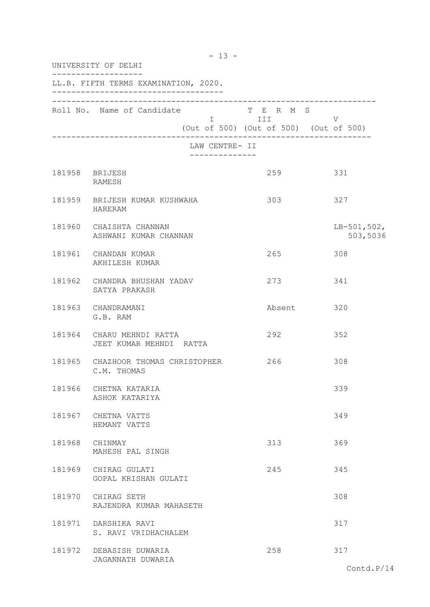|        | UNIVERSITY OF DELHI                              |                                                                     |                           |
|--------|--------------------------------------------------|---------------------------------------------------------------------|---------------------------|
|        | LL.B. FIFTH TERMS EXAMINATION, 2020.             |                                                                     |                           |
|        | Roll No. Name of Candidate                       | T E R M S<br><b>I</b> III<br>(Out of 500) (Out of 500) (Out of 500) | V                         |
|        | LAW CENTRE- II<br>______________                 |                                                                     |                           |
|        | 181958 BRIJESH<br>RAMESH                         | 259                                                                 | 331                       |
|        | 181959 BRIJESH KUMAR KUSHWAHA<br>HARERAM         | 303                                                                 | 327                       |
|        | 181960 CHAISHTA CHANNAN<br>ASHWANI KUMAR CHANNAN |                                                                     | $LB-501,502,$<br>503,5036 |
|        | 181961 CHANDAN KUMAR<br>AKHILESH KUMAR           | 265                                                                 | 308                       |
|        | 181962 CHANDRA BHUSHAN YADAV<br>SATYA PRAKASH    | 273                                                                 | 341                       |
|        | 181963 CHANDRAMANI<br>G.B. RAM                   | Absent                                                              | 320                       |
| 181964 | CHARU MEHNDI RATTA<br>JEET KUMAR MEHNDI RATTA    | 292                                                                 | 352                       |
| 181965 | CHAZHOOR THOMAS CHRISTOPHER<br>C.M. THOMAS       | 266                                                                 | 308                       |
| 181966 | CHETNA KATARIA<br>ASHOK KATARIYA                 |                                                                     | 339                       |
|        | 181967 CHETNA VATTS<br>HEMANT VATTS              |                                                                     | 349                       |
| 181968 | CHINMAY<br>MAHESH PAL SINGH                      | 313                                                                 | 369                       |
| 181969 | CHIRAG GULATI<br>GOPAL KRISHAN GULATI            | 245                                                                 | 345                       |
| 181970 | CHIRAG SETH<br>RAJENDRA KUMAR MAHASETH           |                                                                     | 308                       |
| 181971 | DARSHIKA RAVI<br>S. RAVI VRIDHACHALEM            |                                                                     | 317                       |
| 181972 | DEBASISH DUWARIA<br>JAGANNATH DUWARIA            | 258                                                                 | 317                       |
|        |                                                  |                                                                     | Contd.P/14                |

- 13 -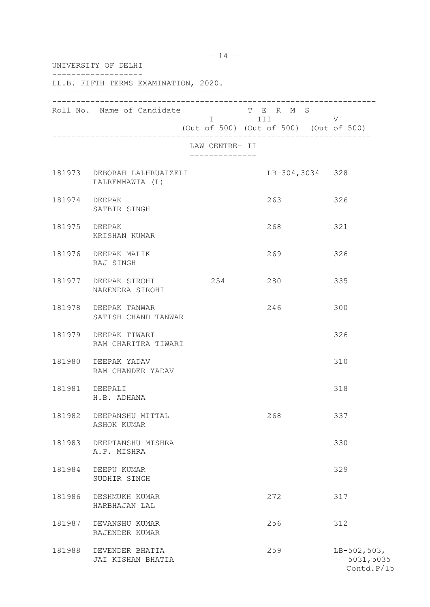| UNIVERSITY OF DELHI |                                                |                |                                                                                                                                                                                                                                                                                      |                                          |  |
|---------------------|------------------------------------------------|----------------|--------------------------------------------------------------------------------------------------------------------------------------------------------------------------------------------------------------------------------------------------------------------------------------|------------------------------------------|--|
|                     | LL.B. FIFTH TERMS EXAMINATION, 2020.           |                |                                                                                                                                                                                                                                                                                      |                                          |  |
|                     | Roll No. Name of Candidate                     |                | T E R M S<br>i in the second service of the service of the service of the service of the service of the service of the service of the service of the service of the service of the service of the service of the service of the service of<br>(Out of 500) (Out of 500) (Out of 500) | V                                        |  |
|                     |                                                | LAW CENTRE- II |                                                                                                                                                                                                                                                                                      |                                          |  |
|                     | 181973 DEBORAH LALHRUAIZELI<br>LALREMMAWIA (L) |                | LB-304,3034 328                                                                                                                                                                                                                                                                      |                                          |  |
|                     | 181974 DEEPAK<br>SATBIR SINGH                  |                | 263                                                                                                                                                                                                                                                                                  | 326                                      |  |
|                     | 181975 DEEPAK<br>KRISHAN KUMAR                 |                | 268                                                                                                                                                                                                                                                                                  | 321                                      |  |
|                     | 181976 DEEPAK MALIK<br>RAJ SINGH               |                | 269                                                                                                                                                                                                                                                                                  | 326                                      |  |
|                     | 181977 DEEPAK SIROHI<br>NARENDRA SIROHI        | 254            | 280                                                                                                                                                                                                                                                                                  | 335                                      |  |
|                     | 181978 DEEPAK TANWAR<br>SATISH CHAND TANWAR    |                | 246                                                                                                                                                                                                                                                                                  | 300                                      |  |
|                     | 181979 DEEPAK TIWARI<br>RAM CHARITRA TIWARI    |                |                                                                                                                                                                                                                                                                                      | 326                                      |  |
|                     | 181980 DEEPAK YADAV<br>RAM CHANDER YADAV       |                |                                                                                                                                                                                                                                                                                      | 310                                      |  |
| 181981              | DEEPALI<br>H.B. ADHANA                         |                |                                                                                                                                                                                                                                                                                      | 318                                      |  |
| 181982              | DEEPANSHU MITTAL<br>ASHOK KUMAR                |                | 268                                                                                                                                                                                                                                                                                  | 337                                      |  |
| 181983              | DEEPTANSHU MISHRA<br>A.P. MISHRA               |                |                                                                                                                                                                                                                                                                                      | 330                                      |  |
| 181984              | DEEPU KUMAR<br>SUDHIR SINGH                    |                |                                                                                                                                                                                                                                                                                      | 329                                      |  |
| 181986              | DESHMUKH KUMAR<br>HARBHAJAN LAL                |                | 272                                                                                                                                                                                                                                                                                  | 317                                      |  |
| 181987              | DEVANSHU KUMAR<br>RAJENDER KUMAR               |                | 256                                                                                                                                                                                                                                                                                  | 312                                      |  |
| 181988              | DEVENDER BHATIA<br>JAI KISHAN BHATIA           |                | 259                                                                                                                                                                                                                                                                                  | $LB-502,503,$<br>5031,5035<br>Contd.P/15 |  |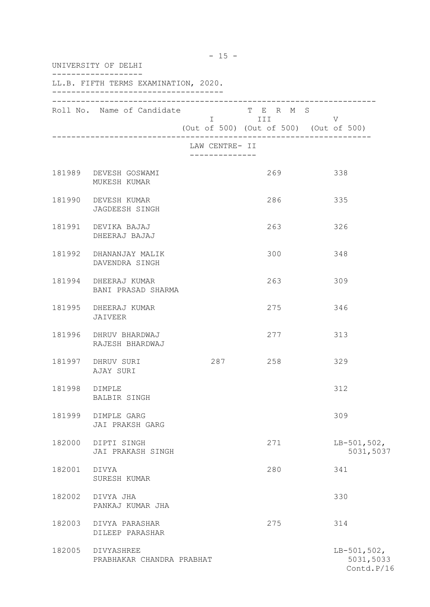| UNIVERSITY OF DELHI |                                          |                                               |                                                                 |                                          |  |  |  |
|---------------------|------------------------------------------|-----------------------------------------------|-----------------------------------------------------------------|------------------------------------------|--|--|--|
|                     | LL.B. FIFTH TERMS EXAMINATION, 2020.     |                                               |                                                                 |                                          |  |  |  |
|                     | Roll No. Name of Candidate               |                                               | T E R M S<br>I III DA<br>(Out of 500) (Out of 500) (Out of 500) | V                                        |  |  |  |
|                     |                                          | LAW CENTRE- II<br>. _ _ _ _ _ _ _ _ _ _ _ _ _ |                                                                 |                                          |  |  |  |
|                     | 181989 DEVESH GOSWAMI<br>MUKESH KUMAR    |                                               | 269                                                             | 338                                      |  |  |  |
|                     | 181990 DEVESH KUMAR<br>JAGDEESH SINGH    |                                               | 286                                                             | 335                                      |  |  |  |
|                     | 181991 DEVIKA BAJAJ<br>DHEERAJ BAJAJ     |                                               | 263                                                             | 326                                      |  |  |  |
|                     | 181992 DHANANJAY MALIK<br>DAVENDRA SINGH |                                               | 300                                                             | 348                                      |  |  |  |
| 181994              | DHEERAJ KUMAR<br>BANI PRASAD SHARMA      |                                               | 263                                                             | 309                                      |  |  |  |
| 181995              | DHEERAJ KUMAR<br>JAIVEER                 |                                               | 275                                                             | 346                                      |  |  |  |
| 181996              | DHRUV BHARDWAJ<br>RAJESH BHARDWAJ        |                                               | 277                                                             | 313                                      |  |  |  |
|                     | 181997 DHRUV SURI<br>AJAY SURI           |                                               | 287 258                                                         | 329                                      |  |  |  |
| 181998              | DIMPLE<br>BALBIR SINGH                   |                                               |                                                                 | 312                                      |  |  |  |
| 181999              | DIMPLE GARG<br>JAI PRAKSH GARG           |                                               |                                                                 | 309                                      |  |  |  |
| 182000              | DIPTI SINGH<br>JAI PRAKASH SINGH         |                                               | 271                                                             | $LB-501,502,$<br>5031,5037               |  |  |  |
| 182001              | DIVYA<br>SURESH KUMAR                    |                                               | 280                                                             | 341                                      |  |  |  |
| 182002              | DIVYA JHA<br>PANKAJ KUMAR JHA            |                                               |                                                                 | 330                                      |  |  |  |
| 182003              | DIVYA PARASHAR<br>DILEEP PARASHAR        |                                               | 275                                                             | 314                                      |  |  |  |
| 182005              | DIVYASHREE<br>PRABHAKAR CHANDRA PRABHAT  |                                               |                                                                 | $LB-501,502,$<br>5031,5033<br>Contd.P/16 |  |  |  |

- 15 -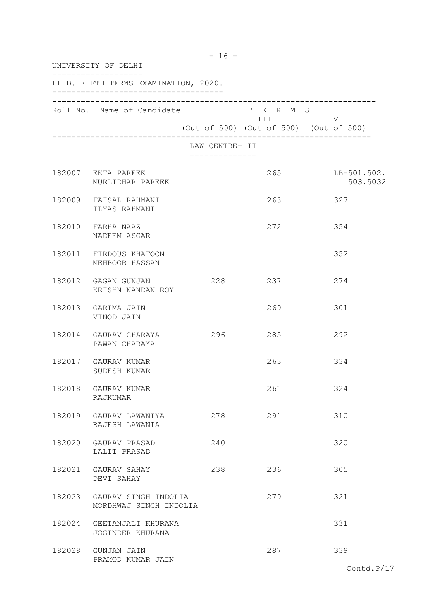| UNIVERSITY OF DELHI                                   |                                  |                                                                       |                           |  |  |
|-------------------------------------------------------|----------------------------------|-----------------------------------------------------------------------|---------------------------|--|--|
| LL.B. FIFTH TERMS EXAMINATION, 2020.                  |                                  |                                                                       |                           |  |  |
| Roll No. Name of Candidate                            |                                  | T E R M S<br>I III DATA SER<br>(Out of 500) (Out of 500) (Out of 500) | V                         |  |  |
|                                                       | LAW CENTRE- II<br>______________ |                                                                       |                           |  |  |
| 182007 EKTA PAREEK<br>MURLIDHAR PAREEK                |                                  | 265                                                                   | $LB-501,502,$<br>503,5032 |  |  |
| 182009 FAISAL RAHMANI<br>ILYAS RAHMANI                |                                  | 263                                                                   | 327                       |  |  |
| 182010 FARHA NAAZ<br>NADEEM ASGAR                     |                                  | 272                                                                   | 354                       |  |  |
| 182011 FIRDOUS KHATOON<br>MEHBOOB HASSAN              |                                  |                                                                       | 352                       |  |  |
| 182012 GAGAN GUNJAN<br>KRISHN NANDAN ROY              | 228                              | 237                                                                   | 274                       |  |  |
| 182013 GARIMA JAIN<br>VINOD JAIN                      |                                  | 269                                                                   | 301                       |  |  |
| 182014 GAURAV CHARAYA<br>PAWAN CHARAYA                | 296                              | 285                                                                   | 292                       |  |  |
| 182017 GAURAV KUMAR<br>SUDESH KUMAR                   |                                  | 263                                                                   | 334                       |  |  |
| 182018 GAURAV KUMAR<br>RAJKUMAR                       |                                  | 261                                                                   | 324                       |  |  |
| 182019 GAURAV LAWANIYA<br>RAJESH LAWANIA              | 278                              | 291                                                                   | 310                       |  |  |
| 182020 GAURAV PRASAD<br>LALIT PRASAD                  | 240                              |                                                                       | 320                       |  |  |
| 182021 GAURAV SAHAY<br>DEVI SAHAY                     | 238                              | 236                                                                   | 305                       |  |  |
| 182023 GAURAV SINGH INDOLIA<br>MORDHWAJ SINGH INDOLIA |                                  | 279                                                                   | 321                       |  |  |
| 182024 GEETANJALI KHURANA<br>JOGINDER KHURANA         |                                  |                                                                       | 331                       |  |  |
| 182028 GUNJAN JAIN<br>PRAMOD KUMAR JAIN               |                                  | 287                                                                   | 339<br>$7 - - + -1$ n/    |  |  |

- 16 -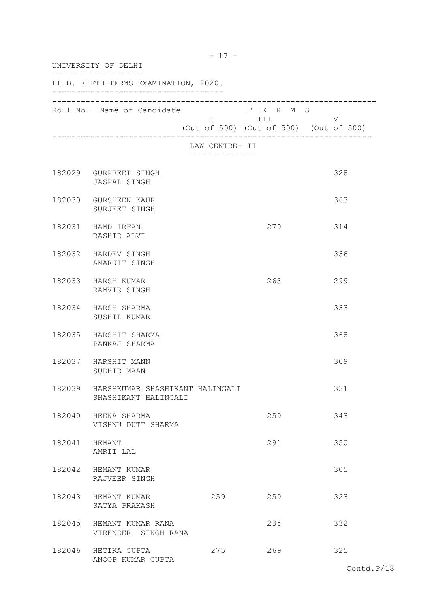| UNIVERSITY OF DELHI |                                                         |                                 |                         |                                             |
|---------------------|---------------------------------------------------------|---------------------------------|-------------------------|---------------------------------------------|
|                     | LL.B. FIFTH TERMS EXAMINATION, 2020.                    |                                 |                         |                                             |
|                     | Roll No. Name of Candidate                              |                                 | T E R M S<br>I III DATU | V<br>(Out of 500) (Out of 500) (Out of 500) |
|                     |                                                         | LAW CENTRE- II<br>------------- |                         |                                             |
|                     | 182029 GURPREET SINGH<br>JASPAL SINGH                   |                                 |                         | 328                                         |
|                     | 182030 GURSHEEN KAUR<br>SURJEET SINGH                   |                                 |                         | 363                                         |
|                     | 182031 HAMD IRFAN<br>RASHID ALVI                        |                                 | 279                     | 314                                         |
|                     | 182032 HARDEV SINGH<br>AMARJIT SINGH                    |                                 |                         | 336                                         |
|                     | 182033 HARSH KUMAR<br>RAMVIR SINGH                      |                                 | 263                     | 299                                         |
|                     | 182034 HARSH SHARMA<br>SUSHIL KUMAR                     |                                 |                         | 333                                         |
|                     | 182035 HARSHIT SHARMA<br>PANKAJ SHARMA                  |                                 |                         | 368                                         |
|                     | 182037 HARSHIT MANN<br>SUDHIR MAAN                      |                                 |                         | 309                                         |
| 182039              | HARSHKUMAR SHASHIKANT HALINGALI<br>SHASHIKANT HALINGALI |                                 |                         | 331                                         |
|                     | 182040 HEENA SHARMA<br>VISHNU DUTT SHARMA               |                                 | 259                     | 343                                         |
| 182041 HEMANT       | AMRIT LAL                                               |                                 | 291                     | 350                                         |
|                     | 182042 HEMANT KUMAR<br>RAJVEER SINGH                    |                                 |                         | 305                                         |
|                     | 182043 HEMANT KUMAR<br>SATYA PRAKASH                    | 259                             | 259                     | 323                                         |
|                     | 182045 HEMANT KUMAR RANA<br>VIRENDER SINGH RANA         |                                 | 235                     | 332                                         |
|                     | 182046 HETIKA GUPTA<br>ANOOP KUMAR GUPTA                | 275                             | 269                     | 325                                         |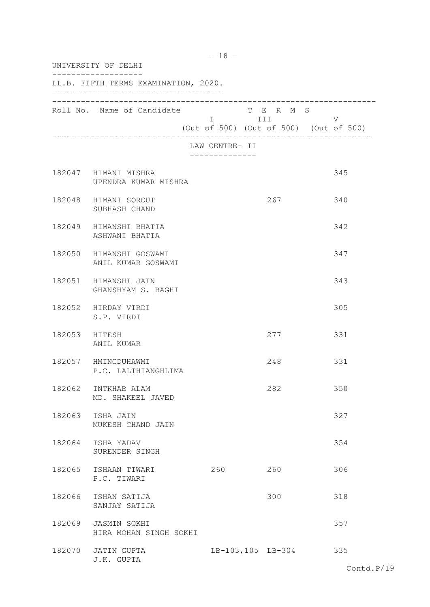| UNIVERSITY OF DELHI |                                               |                                               |                       |                                             |  |
|---------------------|-----------------------------------------------|-----------------------------------------------|-----------------------|---------------------------------------------|--|
|                     | LL.B. FIFTH TERMS EXAMINATION, 2020.          |                                               |                       |                                             |  |
|                     | Roll No. Name of Candidate                    |                                               | T E R M S<br>I III DA | V<br>(Out of 500) (Out of 500) (Out of 500) |  |
|                     |                                               | LAW CENTRE- II<br>. _ _ _ _ _ _ _ _ _ _ _ _ _ |                       |                                             |  |
|                     | 182047 HIMANI MISHRA<br>UPENDRA KUMAR MISHRA  |                                               |                       | 345                                         |  |
|                     | 182048 HIMANI SOROUT<br>SUBHASH CHAND         |                                               | 267                   | 340                                         |  |
|                     | 182049 HIMANSHI BHATIA<br>ASHWANI BHATIA      |                                               |                       | 342                                         |  |
|                     | 182050 HIMANSHI GOSWAMI<br>ANIL KUMAR GOSWAMI |                                               |                       | 347                                         |  |
|                     | 182051 HIMANSHI JAIN<br>GHANSHYAM S. BAGHI    |                                               |                       | 343                                         |  |
|                     | 182052 HIRDAY VIRDI<br>S.P. VIRDI             |                                               |                       | 305                                         |  |
| 182053 HITESH       | ANIL KUMAR                                    |                                               | 277                   | 331                                         |  |
|                     | 182057 HMINGDUHAWMI<br>P.C. LALTHIANGHLIMA    |                                               | 248                   | 331                                         |  |
| 182062              | INTKHAB ALAM<br>MD. SHAKEEL JAVED             |                                               | 282                   | 350                                         |  |
|                     | 182063 ISHA JAIN<br>MUKESH CHAND JAIN         |                                               |                       | 327                                         |  |
|                     | 182064 ISHA YADAV<br>SURENDER SINGH           |                                               |                       | 354                                         |  |
|                     | 182065 ISHAAN TIWARI<br>P.C. TIWARI           | 260                                           | 260                   | 306                                         |  |
| 182066              | ISHAN SATIJA<br>SANJAY SATIJA                 |                                               | 300                   | 318                                         |  |
| 182069              | JASMIN SOKHI<br>HIRA MOHAN SINGH SOKHI        |                                               |                       | 357                                         |  |
|                     | 182070 JATIN GUPTA<br>J.K. GUPTA              |                                               | LB-103,105 LB-304     | 335                                         |  |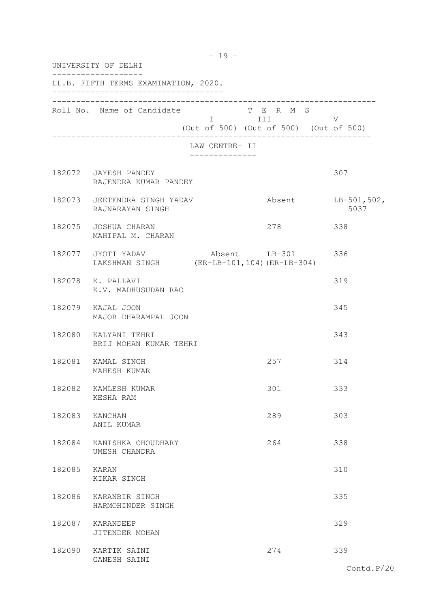|                | UNIVERSITY OF DELHI<br>LL.B. FIFTH TERMS EXAMINATION, 2020.       |                                               |                                                                                                                                                                       |                             |  |  |
|----------------|-------------------------------------------------------------------|-----------------------------------------------|-----------------------------------------------------------------------------------------------------------------------------------------------------------------------|-----------------------------|--|--|
|                |                                                                   |                                               |                                                                                                                                                                       |                             |  |  |
|                | Roll No. Name of Candidate                                        |                                               | T E R M S<br>in the state of the state of the state of the state of the state of the state of the state of the state of the<br>(Out of 500) (Out of 500) (Out of 500) | V                           |  |  |
|                |                                                                   | LAW CENTRE- II<br>. _ _ _ _ _ _ _ _ _ _ _ _ _ |                                                                                                                                                                       |                             |  |  |
|                | 182072 JAYESH PANDEY<br>RAJENDRA KUMAR PANDEY                     |                                               |                                                                                                                                                                       | 307                         |  |  |
|                | 182073 JEETENDRA SINGH YADAV<br>RAJNARAYAN SINGH                  |                                               |                                                                                                                                                                       | Absent LB-501, 502,<br>5037 |  |  |
|                | 182075 JOSHUA CHARAN<br>MAHIPAL M. CHARAN                         |                                               | 278                                                                                                                                                                   | 338                         |  |  |
|                | 182077 JYOTI YADAV<br>LAKSHMAN SINGH (ER-LB-101, 104) (ER-LB-304) |                                               | Absent LB-301 336                                                                                                                                                     |                             |  |  |
|                | 182078 K. PALLAVI<br>K.V. MADHUSUDAN RAO                          |                                               |                                                                                                                                                                       | 319                         |  |  |
|                | 182079 KAJAL JOON<br>MAJOR DHARAMPAL JOON                         |                                               |                                                                                                                                                                       | 345                         |  |  |
|                | 182080 KALYANI TEHRI<br>BRIJ MOHAN KUMAR TEHRI                    |                                               |                                                                                                                                                                       | 343                         |  |  |
|                | 182081 KAMAL SINGH<br>MAHESH KUMAR                                |                                               | 257                                                                                                                                                                   | 314                         |  |  |
| 182082         | KAMLESH KUMAR<br>KESHA RAM                                        |                                               | 301                                                                                                                                                                   | 333                         |  |  |
| 182083 KANCHAN | ANIL KUMAR                                                        |                                               | 289                                                                                                                                                                   | 303                         |  |  |
| 182084         | KANISHKA CHOUDHARY<br>UMESH CHANDRA                               |                                               | 264                                                                                                                                                                   | 338                         |  |  |
| 182085 KARAN   | KIKAR SINGH                                                       |                                               |                                                                                                                                                                       | 310                         |  |  |
| 182086         | KARANBIR SINGH<br>HARMOHINDER SINGH                               |                                               |                                                                                                                                                                       | 335                         |  |  |
| 182087         | KARANDEEP<br>JITENDER MOHAN                                       |                                               |                                                                                                                                                                       | 329                         |  |  |
|                | 182090 KARTIK SAINI<br>GANESH SAINI                               |                                               | 274                                                                                                                                                                   | 339                         |  |  |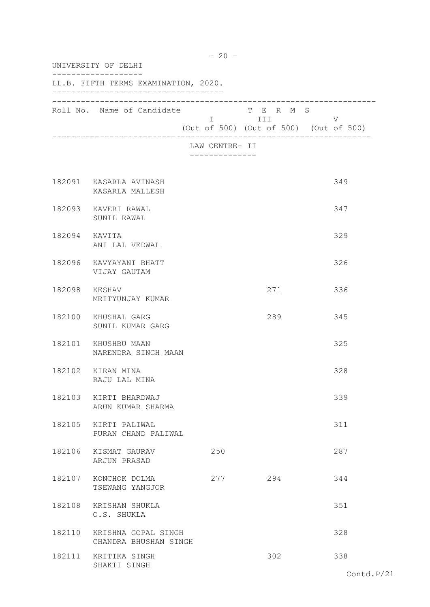|               | $-20 -$<br>UNIVERSITY OF DELHI<br>LL.B. FIFTH TERMS EXAMINATION, 2020. |                |                                                                |     |  |
|---------------|------------------------------------------------------------------------|----------------|----------------------------------------------------------------|-----|--|
|               |                                                                        |                |                                                                |     |  |
|               | Roll No. Name of Candidate                                             |                | T E R M S<br>I III V<br>(Out of 500) (Out of 500) (Out of 500) |     |  |
|               |                                                                        | LAW CENTRE- II |                                                                |     |  |
|               | 182091 KASARLA AVINASH<br>KASARLA MALLESH                              |                |                                                                | 349 |  |
|               | 182093 KAVERI RAWAL<br>SUNIL RAWAL                                     |                |                                                                | 347 |  |
| 182094 KAVITA | ANI LAL VEDWAL                                                         |                |                                                                | 329 |  |
|               | 182096 KAVYAYANI BHATT<br>VIJAY GAUTAM                                 |                |                                                                | 326 |  |
| 182098 KESHAV | MRITYUNJAY KUMAR                                                       |                | 271                                                            | 336 |  |
|               | 182100 KHUSHAL GARG<br>SUNIL KUMAR GARG                                |                | 289                                                            | 345 |  |
|               | 182101 KHUSHBU MAAN<br>NARENDRA SINGH MAAN                             |                |                                                                | 325 |  |
|               | 182102 KIRAN MINA<br>RAJU LAL MINA                                     |                |                                                                | 328 |  |
|               | 182103 KIRTI BHARDWAJ<br>ARUN KUMAR SHARMA                             |                |                                                                | 339 |  |
|               | 182105 KIRTI PALIWAL<br>PURAN CHAND PALIWAL                            |                |                                                                | 311 |  |
|               | 182106 KISMAT GAURAV<br>ARJUN PRASAD                                   | 250            |                                                                | 287 |  |
|               | 182107 KONCHOK DOLMA<br>TSEWANG YANGJOR                                | 277            | 294                                                            | 344 |  |
|               | 182108 KRISHAN SHUKLA<br>O.S. SHUKLA                                   |                |                                                                | 351 |  |
|               | 182110 KRISHNA GOPAL SINGH<br>CHANDRA BHUSHAN SINGH                    |                |                                                                | 328 |  |
|               | 182111 KRITIKA SINGH<br>SHAKTI SINGH                                   |                | 302                                                            | 338 |  |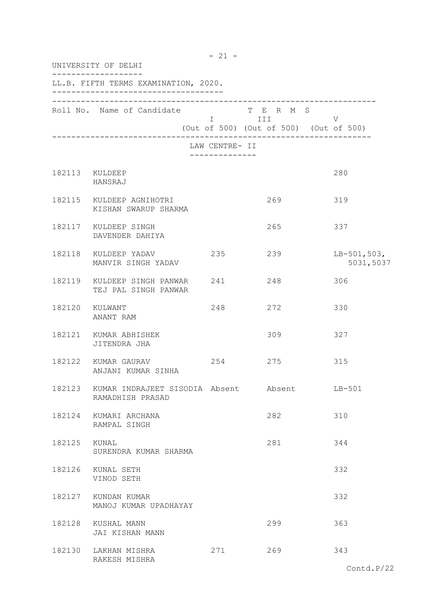| UNIVERSITY OF DELHI |                                                                  |                |                                                   |                            |  |  |
|---------------------|------------------------------------------------------------------|----------------|---------------------------------------------------|----------------------------|--|--|
|                     | LL.B. FIFTH TERMS EXAMINATION, 2020.                             |                |                                                   |                            |  |  |
|                     | Roll No. Name of Candidate T E R M S                             |                | I III V<br>(Out of 500) (Out of 500) (Out of 500) |                            |  |  |
|                     |                                                                  | LAW CENTRE- II |                                                   |                            |  |  |
|                     | 182113 KULDEEP<br>HANSRAJ                                        |                |                                                   | 280                        |  |  |
|                     | 182115 KULDEEP AGNIHOTRI<br>KISHAN SWARUP SHARMA                 |                | 269                                               | 319                        |  |  |
|                     | 182117 KULDEEP SINGH<br>DAVENDER DAHIYA                          |                | 265                                               | 337                        |  |  |
|                     | 182118 KULDEEP YADAV<br>MANVIR SINGH YADAV                       | 235            | 239                                               | $LB-501,503,$<br>5031,5037 |  |  |
|                     | 182119 KULDEEP SINGH PANWAR 241<br>TEJ PAL SINGH PANWAR          |                | 248                                               | 306                        |  |  |
|                     | 182120 KULWANT<br>ANANT RAM                                      | 248            | 272                                               | 330                        |  |  |
|                     | 182121 KUMAR ABHISHEK<br>JITENDRA JHA                            |                | 309                                               | 327                        |  |  |
|                     | 182122 KUMAR GAURAV<br>ANJANI KUMAR SINHA                        | 254            | 275                                               | 315                        |  |  |
|                     | 182123 KUMAR INDRAJEET SISODIA Absent Absent<br>RAMADHISH PRASAD |                |                                                   | $LB-501$                   |  |  |
|                     | 182124 KUMARI ARCHANA<br>RAMPAL SINGH                            |                | 282                                               | 310                        |  |  |
| 182125 KUNAL        | SURENDRA KUMAR SHARMA                                            |                | 281                                               | 344                        |  |  |
|                     | 182126 KUNAL SETH<br>VINOD SETH                                  |                |                                                   | 332                        |  |  |
|                     | 182127 KUNDAN KUMAR<br>MANOJ KUMAR UPADHAYAY                     |                |                                                   | 332                        |  |  |
|                     | 182128 KUSHAL MANN<br>JAI KISHAN MANN                            |                | 299                                               | 363                        |  |  |
|                     | 182130 LAKHAN MISHRA<br>RAKESH MISHRA                            | 271            | 269                                               | 343                        |  |  |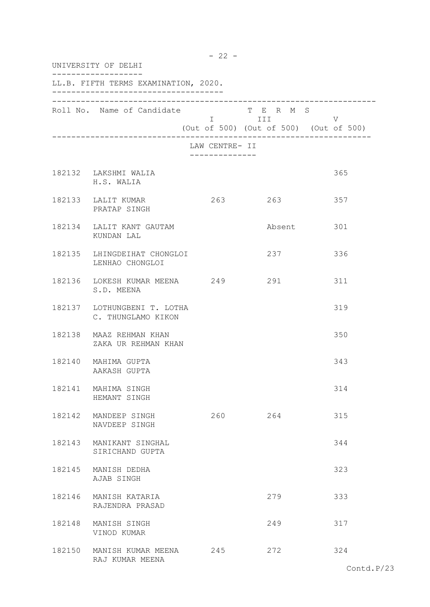| UNIVERSITY OF DELHI                               |                              |                                                                                                                             |                                             |  |
|---------------------------------------------------|------------------------------|-----------------------------------------------------------------------------------------------------------------------------|---------------------------------------------|--|
| LL.B. FIFTH TERMS EXAMINATION, 2020.              |                              |                                                                                                                             |                                             |  |
| Roll No. Name of Candidate                        |                              | T E R M S<br>I III DIE STAATSTELLING IN 1979 VAN SEE STAATS SAAR ON 1979 VAN SEE STAATS ON DE STAATS ONDER STAATS ON DE STA | V<br>(Out of 500) (Out of 500) (Out of 500) |  |
|                                                   | LAW CENTRE- II<br>. <u>.</u> |                                                                                                                             |                                             |  |
| 182132 LAKSHMI WALIA<br>H.S. WALIA                |                              |                                                                                                                             | 365                                         |  |
| 182133 LALIT KUMAR<br>PRATAP SINGH                | 263                          | 263                                                                                                                         | 357                                         |  |
| 182134 LALIT KANT GAUTAM<br>KUNDAN LAL            |                              |                                                                                                                             | Absent 301                                  |  |
| 182135 LHINGDEIHAT CHONGLOI<br>LENHAO CHONGLOI    |                              | 237                                                                                                                         | 336                                         |  |
| 182136 LOKESH KUMAR MEENA 249<br>S.D. MEENA       |                              | 291                                                                                                                         | 311                                         |  |
| 182137 LOTHUNGBENI T. LOTHA<br>C. THUNGLAMO KIKON |                              |                                                                                                                             | 319                                         |  |
| 182138 MAAZ REHMAN KHAN<br>ZAKA UR REHMAN KHAN    |                              |                                                                                                                             | 350                                         |  |
| 182140 MAHIMA GUPTA<br>AAKASH GUPTA               |                              |                                                                                                                             | 343                                         |  |
| 182141 MAHIMA SINGH<br>HEMANT SINGH               |                              |                                                                                                                             | 314                                         |  |
| 182142 MANDEEP SINGH<br>NAVDEEP SINGH             | 260                          | 264                                                                                                                         | 315                                         |  |
| 182143 MANIKANT SINGHAL<br>SIRICHAND GUPTA        |                              |                                                                                                                             | 344                                         |  |
| 182145 MANISH DEDHA<br>AJAB SINGH                 |                              |                                                                                                                             | 323                                         |  |
| 182146 MANISH KATARIA<br>RAJENDRA PRASAD          |                              | 279                                                                                                                         | 333                                         |  |
| 182148 MANISH SINGH<br>VINOD KUMAR                |                              | 249                                                                                                                         | 317                                         |  |
| 182150 MANISH KUMAR MEENA<br>RAJ KUMAR MEENA      | 245                          | 272                                                                                                                         | 324                                         |  |

- 22 -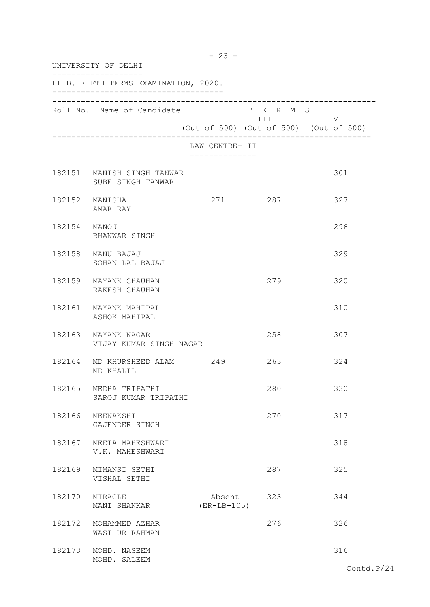| UNIVERSITY OF DELHI |                                                 |                                               |                         |                                             |
|---------------------|-------------------------------------------------|-----------------------------------------------|-------------------------|---------------------------------------------|
|                     | LL.B. FIFTH TERMS EXAMINATION, 2020.            |                                               |                         |                                             |
|                     | Roll No. Name of Candidate                      |                                               | T E R M S<br>I III DATU | V<br>(Out of 500) (Out of 500) (Out of 500) |
|                     |                                                 | LAW CENTRE- II<br>. _ _ _ _ _ _ _ _ _ _ _ _ _ |                         |                                             |
|                     | 182151 MANISH SINGH TANWAR<br>SUBE SINGH TANWAR |                                               |                         | 301                                         |
|                     | 182152 MANISHA<br>AMAR RAY                      |                                               | 271 287                 | 327                                         |
| 182154 MANOJ        | BHANWAR SINGH                                   |                                               |                         | 296                                         |
|                     | 182158 MANU BAJAJ<br>SOHAN LAL BAJAJ            |                                               |                         | 329                                         |
|                     | 182159 MAYANK CHAUHAN<br>RAKESH CHAUHAN         |                                               | 279                     | 320                                         |
|                     | 182161 MAYANK MAHIPAL<br>ASHOK MAHIPAL          |                                               |                         | 310                                         |
|                     | 182163 MAYANK NAGAR<br>VIJAY KUMAR SINGH NAGAR  |                                               | 258                     | 307                                         |
|                     | 182164 MD KHURSHEED ALAM 249<br>MD KHALIL       |                                               | 263                     | 324                                         |
| 182165              | MEDHA TRIPATHI<br>SAROJ KUMAR TRIPATHI          |                                               | 280                     | 330                                         |
|                     | 182166 MEENAKSHI<br>GAJENDER SINGH              |                                               | 270                     | 317                                         |
|                     | 182167 MEETA MAHESHWARI<br>V.K. MAHESHWARI      |                                               |                         | 318                                         |
| 182169              | MIMANSI SETHI<br>VISHAL SETHI                   |                                               | 287                     | 325                                         |
| 182170              | MIRACLE<br>MANI SHANKAR                         | Absent<br>$(ER-LB-105)$                       | 323                     | 344                                         |
| 182172              | MOHAMMED AZHAR<br>WASI UR RAHMAN                |                                               | 276                     | 326                                         |
| 182173              | MOHD. NASEEM<br>MOHD. SALEEM                    |                                               |                         | 316                                         |

- 23 -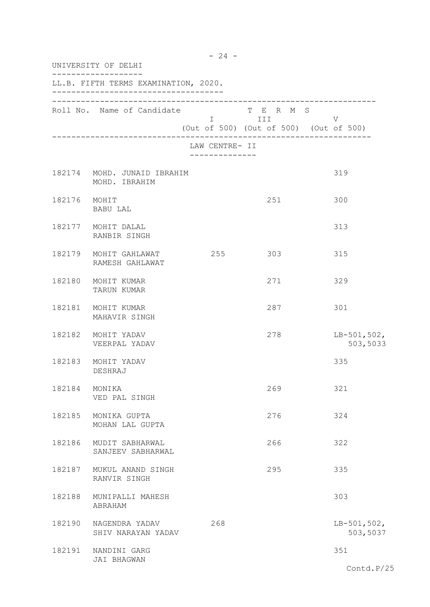| UNIVERSITY OF DELHI |                                              |                                                   |                                                            |                            |  |
|---------------------|----------------------------------------------|---------------------------------------------------|------------------------------------------------------------|----------------------------|--|
|                     | LL.B. FIFTH TERMS EXAMINATION, 2020.         |                                                   |                                                            |                            |  |
|                     | Roll No. Name of Candidate                   | $\mathbb{R}^n$ . In the set of the $\mathbb{R}^n$ | T E R M S<br>III<br>(Out of 500) (Out of 500) (Out of 500) | V                          |  |
|                     |                                              | LAW CENTRE- II<br>. _ _ _ _ _ _ _ _ _ _ _ _ _     |                                                            |                            |  |
|                     | 182174 MOHD. JUNAID IBRAHIM<br>MOHD. IBRAHIM |                                                   |                                                            | 319                        |  |
|                     | 182176 MOHIT<br>BABU LAL                     |                                                   | 251                                                        | 300                        |  |
|                     | 182177 MOHIT DALAL<br>RANBIR SINGH           |                                                   |                                                            | 313                        |  |
|                     | 182179 MOHIT GAHLAWAT<br>RAMESH GAHLAWAT     | 255 303                                           |                                                            | 315                        |  |
| 182180              | MOHIT KUMAR<br>TARUN KUMAR                   |                                                   | 271                                                        | 329                        |  |
| 182181              | MOHIT KUMAR<br>MAHAVIR SINGH                 |                                                   | 287                                                        | 301                        |  |
| 182182              | MOHIT YADAV<br>VEERPAL YADAV                 |                                                   | 278                                                        | $LB-501, 502,$<br>503,5033 |  |
| 182183              | MOHIT YADAV<br>DESHRAJ                       |                                                   |                                                            | 335                        |  |
| 182184              | MONIKA<br>VED PAL SINGH                      |                                                   | 269                                                        | 321                        |  |
| 182185              | MONIKA GUPTA<br>MOHAN LAL GUPTA              |                                                   | 276                                                        | 324                        |  |
| 182186              | MUDIT SABHARWAL<br>SANJEEV SABHARWAL         |                                                   | 266                                                        | 322                        |  |
| 182187              | MUKUL ANAND SINGH<br>RANVIR SINGH            |                                                   | 295                                                        | 335                        |  |
| 182188              | MUNIPALLI MAHESH<br>ABRAHAM                  |                                                   |                                                            | 303                        |  |
| 182190              | NAGENDRA YADAV<br>SHIV NARAYAN YADAV         | 268                                               |                                                            | $LB-501,502,$<br>503,5037  |  |
|                     | 182191 NANDINI GARG<br>JAI BHAGWAN           |                                                   |                                                            | 351<br>Contd.P/25          |  |

- 24 -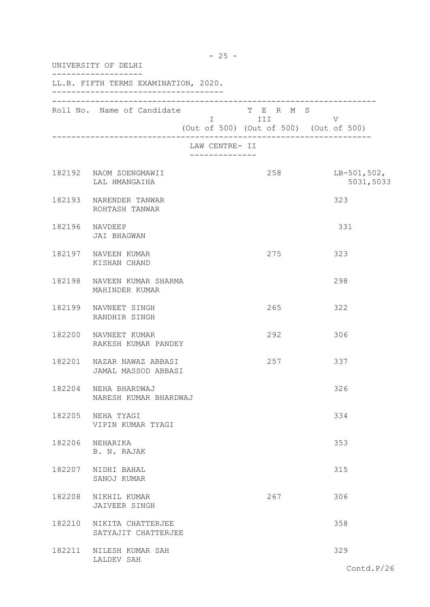|        | UNIVERSITY OF DELHI                              |                |                                                                                                                                                                                                                                                                                        |                            |  |
|--------|--------------------------------------------------|----------------|----------------------------------------------------------------------------------------------------------------------------------------------------------------------------------------------------------------------------------------------------------------------------------------|----------------------------|--|
|        | LL.B. FIFTH TERMS EXAMINATION, 2020.             |                |                                                                                                                                                                                                                                                                                        |                            |  |
|        | Roll No. Name of Candidate                       |                | T E R M S<br>I III DA SANTA DE LA TITULA DE LA CATALLA DE LA CATALLA DE LA CATALLA DE LA CATALLA DE LA CATALLA DE LA CATAL<br>DE LA CATALLA DE LA CATALLA DE LA CATALLA DE LA CATALLA DE LA CATALLA DE LA CATALLA DE LA CATALLA DE LA CATALL<br>(Out of 500) (Out of 500) (Out of 500) | V                          |  |
|        |                                                  | LAW CENTRE- II |                                                                                                                                                                                                                                                                                        |                            |  |
|        | 182192 NAOM ZOENGMAWII<br>LAL HMANGAIHA          |                | 258                                                                                                                                                                                                                                                                                    | $LB-501,502,$<br>5031,5033 |  |
|        | 182193 NARENDER TANWAR<br>ROHTASH TANWAR         |                |                                                                                                                                                                                                                                                                                        | 323                        |  |
|        | 182196 NAVDEEP<br>JAI BHAGWAN                    |                |                                                                                                                                                                                                                                                                                        | 331                        |  |
|        | 182197 NAVEEN KUMAR<br>KISHAN CHAND              |                | 275                                                                                                                                                                                                                                                                                    | 323                        |  |
| 182198 | NAVEEN KUMAR SHARMA<br>MAHINDER KUMAR            |                |                                                                                                                                                                                                                                                                                        | 298                        |  |
| 182199 | NAVNEET SINGH<br>RANDHIR SINGH                   |                | 265                                                                                                                                                                                                                                                                                    | 322                        |  |
| 182200 | NAVNEET KUMAR<br>RAKESH KUMAR PANDEY             |                | 292                                                                                                                                                                                                                                                                                    | 306                        |  |
|        | 182201 NAZAR NAWAZ ABBASI<br>JAMAL MASSOD ABBASI |                | 257                                                                                                                                                                                                                                                                                    | 337                        |  |
| 182204 | NEHA BHARDWAJ<br>NARESH KUMAR BHARDWAJ           |                |                                                                                                                                                                                                                                                                                        | 326                        |  |
| 182205 | NEHA TYAGI<br>VIPIN KUMAR TYAGI                  |                |                                                                                                                                                                                                                                                                                        | 334                        |  |
| 182206 | NEHARIKA<br>B. N. RAJAK                          |                |                                                                                                                                                                                                                                                                                        | 353                        |  |
| 182207 | NIDHI BAHAL<br>SANOJ KUMAR                       |                |                                                                                                                                                                                                                                                                                        | 315                        |  |
| 182208 | NIKHIL KUMAR<br>JAIVEER SINGH                    |                | 267                                                                                                                                                                                                                                                                                    | 306                        |  |
| 182210 | NIKITA CHATTERJEE<br>SATYAJIT CHATTERJEE         |                |                                                                                                                                                                                                                                                                                        | 358                        |  |
|        | 182211 NILESH KUMAR SAH<br>LALDEV SAH            |                |                                                                                                                                                                                                                                                                                        | 329                        |  |
|        |                                                  |                |                                                                                                                                                                                                                                                                                        | Contd.P/26                 |  |

- 25 -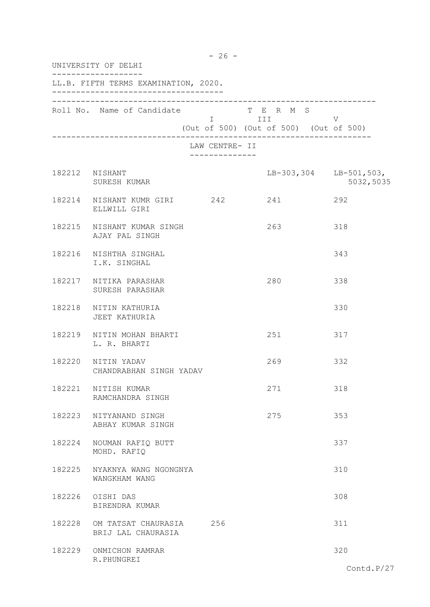|        | $-26 -$<br>UNIVERSITY OF DELHI                       |                                               |                                                                                                                              |               |  |  |
|--------|------------------------------------------------------|-----------------------------------------------|------------------------------------------------------------------------------------------------------------------------------|---------------|--|--|
|        | LL.B. FIFTH TERMS EXAMINATION, 2020.                 |                                               |                                                                                                                              |               |  |  |
|        | Roll No. Name of Candidate                           |                                               | T E R M S<br>$\begin{array}{ccc} & & - & \\ & & \text{III} & \\ & & & \end{array}$<br>(Out of 500) (Out of 500) (Out of 500) | V             |  |  |
|        |                                                      | LAW CENTRE- II<br>- - - - - - - - - - - - - - |                                                                                                                              |               |  |  |
|        | 182212 NISHANT<br>SURESH KUMAR                       |                                               | LB-303,304 LB-501,503,                                                                                                       | 5032,5035     |  |  |
|        | 182214 NISHANT KUMR GIRI 242 241<br>ELLWILL GIRI     |                                               | 292                                                                                                                          |               |  |  |
|        | 182215 NISHANT KUMAR SINGH<br>AJAY PAL SINGH         |                                               | 263                                                                                                                          | 318           |  |  |
|        | 182216 NISHTHA SINGHAL<br>I.K. SINGHAL               |                                               |                                                                                                                              | 343           |  |  |
|        | 182217 NITIKA PARASHAR<br>SURESH PARASHAR            |                                               | 280                                                                                                                          | 338           |  |  |
|        | 182218 NITIN KATHURIA<br>JEET KATHURIA               |                                               |                                                                                                                              | 330           |  |  |
|        | 182219 NITIN MOHAN BHARTI<br>L. R. BHARTI            |                                               | 251                                                                                                                          | 317           |  |  |
|        | 182220 NITIN YADAV<br>CHANDRABHAN SINGH YADAV        |                                               | 269                                                                                                                          | 332           |  |  |
|        | 182221 NITISH KUMAR<br>RAMCHANDRA SINGH              |                                               | 271                                                                                                                          | 318           |  |  |
|        | 182223 NITYANAND SINGH<br>ABHAY KUMAR SINGH          |                                               | 275                                                                                                                          | 353           |  |  |
| 182224 | NOUMAN RAFIQ BUTT<br>MOHD. RAFIQ                     |                                               |                                                                                                                              | 337           |  |  |
|        | 182225 NYAKNYA WANG NGONGNYA<br>WANGKHAM WANG        |                                               |                                                                                                                              | 310           |  |  |
|        | 182226 OISHI DAS<br>BIRENDRA KUMAR                   |                                               |                                                                                                                              | 308           |  |  |
|        | 182228 OM TATSAT CHAURASIA 256<br>BRIJ LAL CHAURASIA |                                               |                                                                                                                              | 311           |  |  |
|        | 182229 ONMICHON RAMRAR<br>R. PHUNGREI                |                                               |                                                                                                                              | 320           |  |  |
|        |                                                      |                                               |                                                                                                                              | Contd. $P/27$ |  |  |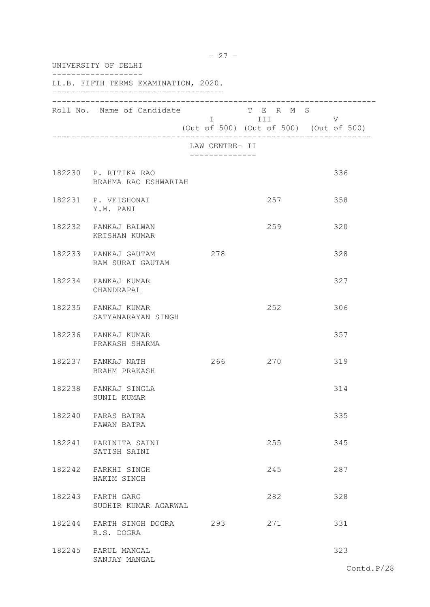| UNIVERSITY OF DELHI                          |                                  |                                                                                                                            |                                             |
|----------------------------------------------|----------------------------------|----------------------------------------------------------------------------------------------------------------------------|---------------------------------------------|
| LL.B. FIFTH TERMS EXAMINATION, 2020.         |                                  |                                                                                                                            |                                             |
| Roll No. Name of Candidate                   |                                  | T E R M S<br>I III DA SANTA DE LA CATALLA DE LA CATALLA DE LA CATALLA DE LA CATALLA DE LA CATALLA DE LA CATALLA DE LA CATA | V<br>(Out of 500) (Out of 500) (Out of 500) |
|                                              | LAW CENTRE- II<br>-------------- |                                                                                                                            |                                             |
| 182230 P. RITIKA RAO<br>BRAHMA RAO ESHWARIAH |                                  |                                                                                                                            | 336                                         |
| 182231 P. VEISHONAI<br>Y.M. PANI             |                                  | 257                                                                                                                        | 358                                         |
| 182232 PANKAJ BALWAN<br>KRISHAN KUMAR        |                                  | 259                                                                                                                        | 320                                         |
| 182233 PANKAJ GAUTAM<br>RAM SURAT GAUTAM     | 278                              |                                                                                                                            | 328                                         |
| 182234 PANKAJ KUMAR<br>CHANDRAPAL            |                                  |                                                                                                                            | 327                                         |
| 182235 PANKAJ KUMAR<br>SATYANARAYAN SINGH    |                                  | 252                                                                                                                        | 306                                         |
| 182236 PANKAJ KUMAR<br>PRAKASH SHARMA        |                                  |                                                                                                                            | 357                                         |
| 182237 PANKAJ NATH<br>BRAHM PRAKASH          |                                  | 266 270                                                                                                                    | 319                                         |
| 182238 PANKAJ SINGLA<br>SUNIL KUMAR          |                                  |                                                                                                                            | 314                                         |
| 182240 PARAS BATRA<br>PAWAN BATRA            |                                  |                                                                                                                            | 335                                         |
| 182241 PARINITA SAINI<br>SATISH SAINI        |                                  | 255                                                                                                                        | 345                                         |
| 182242 PARKHI SINGH<br>HAKIM SINGH           |                                  | 245                                                                                                                        | 287                                         |
| 182243 PARTH GARG<br>SUDHIR KUMAR AGARWAL    |                                  | 282                                                                                                                        | 328                                         |
| 182244 PARTH SINGH DOGRA<br>R.S. DOGRA       | 293                              | 271                                                                                                                        | 331                                         |
| 182245 PARUL MANGAL<br>SANJAY MANGAL         |                                  |                                                                                                                            | 323                                         |
|                                              |                                  |                                                                                                                            | Contd i                                     |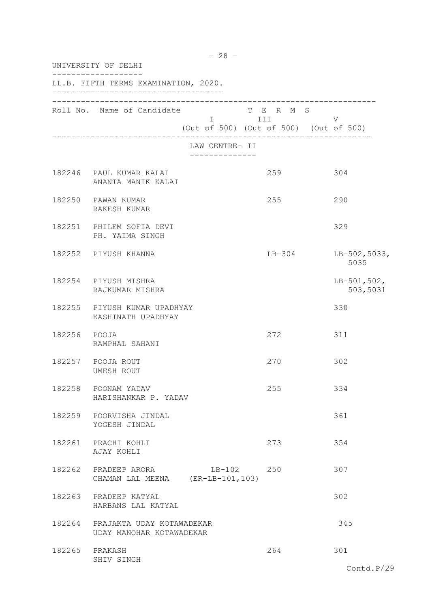| UNIVERSITY OF DELHI |                                                                     |                                               |                                                                   |                           |
|---------------------|---------------------------------------------------------------------|-----------------------------------------------|-------------------------------------------------------------------|---------------------------|
|                     | LL.B. FIFTH TERMS EXAMINATION, 2020.                                |                                               |                                                                   |                           |
|                     | Roll No. Name of Candidate                                          |                                               | T E R M S<br>I III DATU<br>(Out of 500) (Out of 500) (Out of 500) | V                         |
|                     |                                                                     | LAW CENTRE- II<br>. _ _ _ _ _ _ _ _ _ _ _ _ _ |                                                                   |                           |
|                     | 182246 PAUL KUMAR KALAI<br>ANANTA MANIK KALAI                       |                                               | 259                                                               | 304                       |
|                     | 182250 PAWAN KUMAR<br>RAKESH KUMAR                                  |                                               | 255                                                               | 290                       |
|                     | 182251 PHILEM SOFIA DEVI<br>PH. YAIMA SINGH                         |                                               |                                                                   | 329                       |
|                     | 182252 PIYUSH KHANNA                                                |                                               | $LB-304$                                                          | $LB-502,5033,$<br>5035    |
|                     | 182254 PIYUSH MISHRA<br>RAJKUMAR MISHRA                             |                                               |                                                                   | $LB-501,502,$<br>503,5031 |
|                     | 182255 PIYUSH KUMAR UPADHYAY<br>KASHINATH UPADHYAY                  |                                               |                                                                   | 330                       |
| 182256 POOJA        | RAMPHAL SAHANI                                                      |                                               | 272                                                               | 311                       |
|                     | 182257 POOJA ROUT<br>UMESH ROUT                                     |                                               | 270                                                               | 302                       |
| 182258              | POONAM YADAV<br>HARISHANKAR P. YADAV                                |                                               | 255                                                               | 334                       |
|                     | 182259 POORVISHA JINDAL<br>YOGESH JINDAL                            |                                               |                                                                   | 361                       |
|                     | 182261 PRACHI KOHLI<br>AJAY KOHLI                                   |                                               | 273                                                               | 354                       |
|                     | 182262 PRADEEP ARORA LB-102 250<br>CHAMAN LAL MEENA (ER-LB-101,103) |                                               |                                                                   | 307                       |
| 182263              | PRADEEP KATYAL<br>HARBANS LAL KATYAL                                |                                               |                                                                   | 302                       |
| 182264              | PRAJAKTA UDAY KOTAWADEKAR<br>UDAY MANOHAR KOTAWADEKAR               |                                               |                                                                   | 345                       |
| 182265 PRAKASH      | SHIV SINGH                                                          |                                               | 264                                                               | 301                       |

- 28 -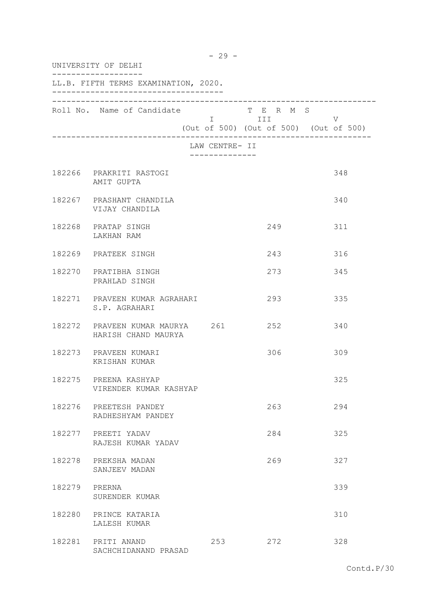| UNIVERSITY OF DELHI |                                                        |                              |                                                                |     |  |
|---------------------|--------------------------------------------------------|------------------------------|----------------------------------------------------------------|-----|--|
|                     | LL.B. FIFTH TERMS EXAMINATION, 2020.                   |                              |                                                                |     |  |
|                     | Roll No. Name of Candidate                             |                              | T E R M S<br>I III V<br>(Out of 500) (Out of 500) (Out of 500) |     |  |
|                     |                                                        | LAW CENTRE- II<br>. <u>.</u> |                                                                |     |  |
|                     | 182266 PRAKRITI RASTOGI<br>AMIT GUPTA                  |                              |                                                                | 348 |  |
|                     | 182267 PRASHANT CHANDILA<br>VIJAY CHANDILA             |                              |                                                                | 340 |  |
|                     | 182268 PRATAP SINGH<br>LAKHAN RAM                      |                              | 249                                                            | 311 |  |
|                     | 182269 PRATEEK SINGH                                   |                              | 243                                                            | 316 |  |
|                     | 182270 PRATIBHA SINGH<br>PRAHLAD SINGH                 |                              | 273                                                            | 345 |  |
|                     | 182271 PRAVEEN KUMAR AGRAHARI<br>S.P. AGRAHARI         |                              | 293                                                            | 335 |  |
|                     | 182272 PRAVEEN KUMAR MAURYA 261<br>HARISH CHAND MAURYA |                              | 252                                                            | 340 |  |
|                     | 182273 PRAVEEN KUMARI<br>KRISHAN KUMAR                 |                              | 306                                                            | 309 |  |
|                     | 182275 PREENA KASHYAP<br>VIRENDER KUMAR KASHYAP        |                              |                                                                | 325 |  |
|                     | 182276 PREETESH PANDEY<br>RADHESHYAM PANDEY            |                              | 263                                                            | 294 |  |
|                     | 182277 PREETI YADAV<br>RAJESH KUMAR YADAV              |                              | 284                                                            | 325 |  |
|                     | 182278 PREKSHA MADAN<br>SANJEEV MADAN                  |                              | 269                                                            | 327 |  |
| 182279 PRERNA       | SURENDER KUMAR                                         |                              |                                                                | 339 |  |
|                     | 182280 PRINCE KATARIA<br>LALESH KUMAR                  |                              |                                                                | 310 |  |
|                     | 182281 PRITI ANAND<br>SACHCHIDANAND PRASAD             | 253                          | 272                                                            | 328 |  |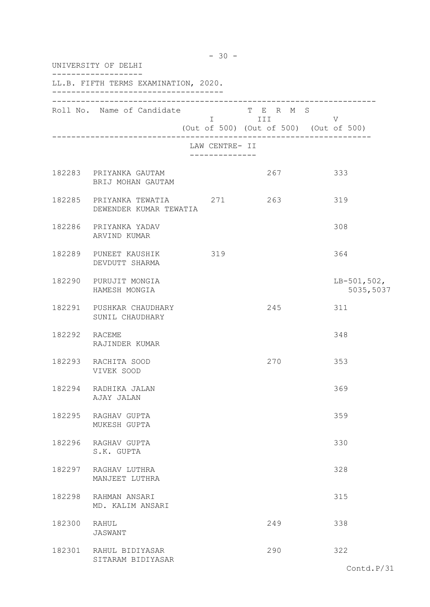|               | UNIVERSITY OF DELHI                                       |                                  |            |                                             |  |  |
|---------------|-----------------------------------------------------------|----------------------------------|------------|---------------------------------------------|--|--|
|               | LL.B. FIFTH TERMS EXAMINATION, 2020.                      |                                  |            |                                             |  |  |
|               | Roll No. Name of Candidate T E R M S                      |                                  | I III DATU | V<br>(Out of 500) (Out of 500) (Out of 500) |  |  |
|               |                                                           | LAW CENTRE- II<br>-------------- |            |                                             |  |  |
|               | 182283 PRIYANKA GAUTAM<br>BRIJ MOHAN GAUTAM               |                                  | 267        | 333                                         |  |  |
|               | 182285 PRIYANKA TEWATIA 271 263<br>DEWENDER KUMAR TEWATIA |                                  |            | 319                                         |  |  |
|               | 182286 PRIYANKA YADAV<br>ARVIND KUMAR                     |                                  |            | 308                                         |  |  |
|               | 182289 PUNEET KAUSHIK 319<br>DEVDUTT SHARMA               |                                  |            | 364                                         |  |  |
|               | 182290 PURUJIT MONGIA<br>HAMESH MONGIA                    |                                  |            | $LB-501,502,$<br>5035,5037                  |  |  |
|               | 182291 PUSHKAR CHAUDHARY<br>SUNIL CHAUDHARY               |                                  | 245        | 311                                         |  |  |
| 182292 RACEME | RAJINDER KUMAR                                            |                                  |            | 348                                         |  |  |
|               | 182293 RACHITA SOOD<br>VIVEK SOOD                         |                                  | 270        | 353                                         |  |  |
| 182294        | RADHIKA JALAN<br>AJAY JALAN                               |                                  |            | 369                                         |  |  |
|               | 182295 RAGHAV GUPTA<br>MUKESH GUPTA                       |                                  |            | 359                                         |  |  |
|               | 182296 RAGHAV GUPTA<br>S.K. GUPTA                         |                                  |            | 330                                         |  |  |
| 182297        | RAGHAV LUTHRA<br>MANJEET LUTHRA                           |                                  |            | 328                                         |  |  |
| 182298        | RAHMAN ANSARI<br>MD. KALIM ANSARI                         |                                  |            | 315                                         |  |  |
| 182300        | RAHUL<br>JASWANT                                          |                                  | 249        | 338                                         |  |  |
|               | 182301 RAHUL BIDIYASAR<br>SITARAM BIDIYASAR               |                                  | 290        | 322                                         |  |  |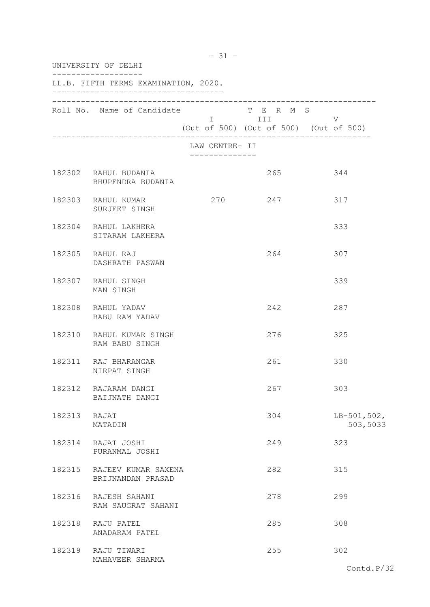|              | UNIVERSITY OF DELHI                             |                                                           |                                                     |                           |  |  |
|--------------|-------------------------------------------------|-----------------------------------------------------------|-----------------------------------------------------|---------------------------|--|--|
|              | LL.B. FIFTH TERMS EXAMINATION, 2020.            |                                                           |                                                     |                           |  |  |
|              | Roll No. Name of Candidate                      | $\begin{tabular}{ll} \tt I & \tt & \tt III \end{tabular}$ | T E R M S<br>(Out of 500) (Out of 500) (Out of 500) | V                         |  |  |
|              |                                                 | LAW CENTRE- II<br>-------------                           |                                                     |                           |  |  |
|              | 182302 RAHUL BUDANIA<br>BHUPENDRA BUDANIA       |                                                           | 265                                                 | 344                       |  |  |
|              | 182303 RAHUL KUMAR<br>SURJEET SINGH             | 270                                                       | 247                                                 | 317                       |  |  |
|              | 182304 RAHUL LAKHERA<br>SITARAM LAKHERA         |                                                           |                                                     | 333                       |  |  |
|              | 182305 RAHUL RAJ<br>DASHRATH PASWAN             |                                                           | 264                                                 | 307                       |  |  |
|              | 182307 RAHUL SINGH<br>MAN SINGH                 |                                                           |                                                     | 339                       |  |  |
|              | 182308 RAHUL YADAV<br>BABU RAM YADAV            |                                                           | 242                                                 | 287                       |  |  |
|              | 182310 RAHUL KUMAR SINGH<br>RAM BABU SINGH      |                                                           | 276                                                 | 325                       |  |  |
|              | 182311 RAJ BHARANGAR<br>NIRPAT SINGH            |                                                           | 261                                                 | 330                       |  |  |
|              | 182312 RAJARAM DANGI<br>BAIJNATH DANGI          |                                                           | 267                                                 | 303                       |  |  |
| 182313 RAJAT | MATADIN                                         |                                                           | 304                                                 | $LB-501,502,$<br>503,5033 |  |  |
|              | 182314 RAJAT JOSHI<br>PURANMAL JOSHI            |                                                           | 249                                                 | 323                       |  |  |
|              | 182315 RAJEEV KUMAR SAXENA<br>BRIJNANDAN PRASAD |                                                           | 282                                                 | 315                       |  |  |
|              | 182316 RAJESH SAHANI<br>RAM SAUGRAT SAHANI      |                                                           | 278                                                 | 299                       |  |  |
|              | 182318 RAJU PATEL<br>ANADARAM PATEL             |                                                           | 285                                                 | 308                       |  |  |
|              | 182319 RAJU TIWARI<br>MAHAVEER SHARMA           |                                                           | 255                                                 | 302                       |  |  |

## - 31 -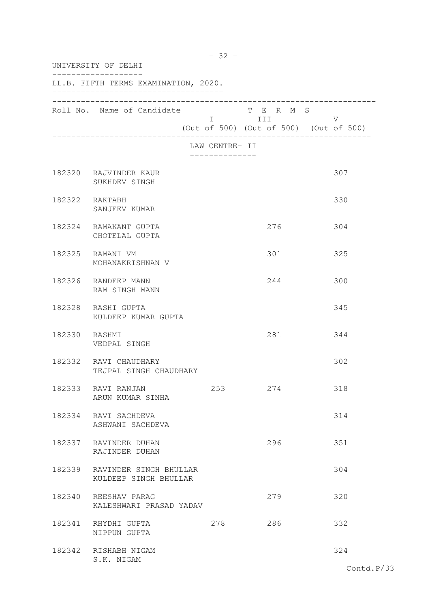| UNIVERSITY OF DELHI |                                                        |                                 |           |                                             |
|---------------------|--------------------------------------------------------|---------------------------------|-----------|---------------------------------------------|
|                     | LL.B. FIFTH TERMS EXAMINATION, 2020.                   |                                 |           |                                             |
|                     | Roll No. Name of Candidate                             | I III                           | T E R M S | V<br>(Out of 500) (Out of 500) (Out of 500) |
|                     |                                                        | LAW CENTRE- II<br>------------- |           |                                             |
|                     | 182320 RAJVINDER KAUR<br>SUKHDEV SINGH                 |                                 |           | 307                                         |
|                     | 182322 RAKTABH<br>SANJEEV KUMAR                        |                                 |           | 330                                         |
|                     | 182324 RAMAKANT GUPTA<br>CHOTELAL GUPTA                |                                 | 276       | 304                                         |
|                     | 182325 RAMANI VM<br>MOHANAKRISHNAN V                   |                                 | 301       | 325                                         |
|                     | 182326 RANDEEP MANN<br>RAM SINGH MANN                  |                                 | 244       | 300                                         |
|                     | 182328 RASHI GUPTA<br>KULDEEP KUMAR GUPTA              |                                 |           | 345                                         |
| 182330 RASHMI       | VEDPAL SINGH                                           |                                 | 281       | 344                                         |
|                     | 182332 RAVI CHAUDHARY<br>TEJPAL SINGH CHAUDHARY        |                                 |           | 302                                         |
| 182333              | RAVI RANJAN<br>ARUN KUMAR SINHA                        | 253                             | 274       | 318                                         |
|                     | 182334 RAVI SACHDEVA<br>ASHWANI SACHDEVA               |                                 |           | 314                                         |
|                     | 182337 RAVINDER DUHAN<br>RAJINDER DUHAN                |                                 | 296       | 351                                         |
|                     | 182339 RAVINDER SINGH BHULLAR<br>KULDEEP SINGH BHULLAR |                                 |           | 304                                         |
|                     | 182340 REESHAV PARAG<br>KALESHWARI PRASAD YADAV        |                                 | 279       | 320                                         |
|                     | 182341 RHYDHI GUPTA<br>NIPPUN GUPTA                    | 278                             | 286       | 332                                         |
|                     | 182342 RISHABH NIGAM<br>S.K. NIGAM                     |                                 |           | 324                                         |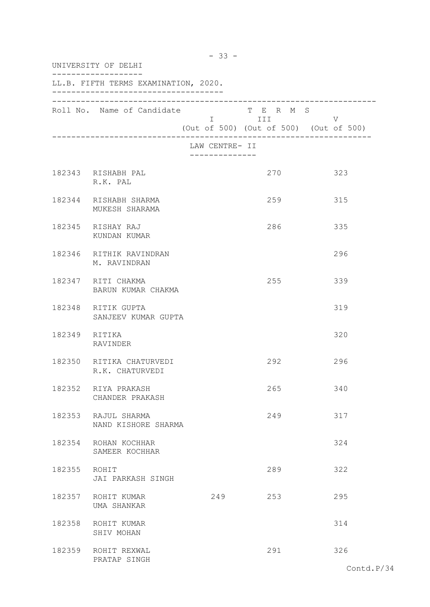| UNIVERSITY OF DELHI |                                             |                                                 |                         |                                             |
|---------------------|---------------------------------------------|-------------------------------------------------|-------------------------|---------------------------------------------|
|                     | LL.B. FIFTH TERMS EXAMINATION, 2020.        |                                                 |                         |                                             |
|                     | Roll No. Name of Candidate                  |                                                 | T E R M S<br>I III DATU | V<br>(Out of 500) (Out of 500) (Out of 500) |
|                     |                                             | LAW CENTRE- II<br>. _ _ _ _ _ _ _ _ _ _ _ _ _ _ |                         |                                             |
|                     | 182343 RISHABH PAL<br>R.K. PAL              |                                                 | 270                     | 323                                         |
|                     | 182344 RISHABH SHARMA<br>MUKESH SHARAMA     |                                                 | 259                     | 315                                         |
|                     | 182345 RISHAY RAJ<br>KUNDAN KUMAR           |                                                 | 286                     | 335                                         |
|                     | 182346 RITHIK RAVINDRAN<br>M. RAVINDRAN     |                                                 |                         | 296                                         |
|                     | 182347 RITI CHAKMA<br>BARUN KUMAR CHAKMA    |                                                 | 255                     | 339                                         |
|                     | 182348 RITIK GUPTA<br>SANJEEV KUMAR GUPTA   |                                                 |                         | 319                                         |
| 182349 RITIKA       | RAVINDER                                    |                                                 |                         | 320                                         |
|                     | 182350 RITIKA CHATURVEDI<br>R.K. CHATURVEDI |                                                 | 292                     | 296                                         |
| 182352              | RIYA PRAKASH<br>CHANDER PRAKASH             |                                                 | 265                     | 340                                         |
|                     | 182353 RAJUL SHARMA<br>NAND KISHORE SHARMA  |                                                 | 249                     | 317                                         |
|                     | 182354 ROHAN KOCHHAR<br>SAMEER KOCHHAR      |                                                 |                         | 324                                         |
| 182355 ROHIT        | JAI PARKASH SINGH                           |                                                 | 289                     | 322                                         |
|                     | 182357 ROHIT KUMAR<br>UMA SHANKAR           | 249                                             | 253                     | 295                                         |
|                     | 182358 ROHIT KUMAR<br>SHIV MOHAN            |                                                 |                         | 314                                         |
|                     | 182359 ROHIT REXWAL<br>PRATAP SINGH         |                                                 | 291                     | 326                                         |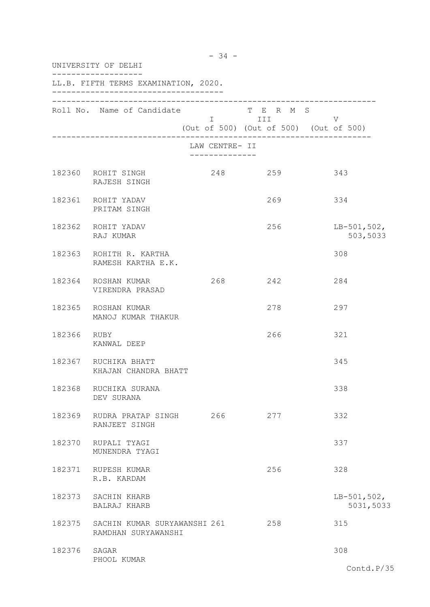|        | UNIVERSITY OF DELHI                                 |                                        |                                                                                   |                            |
|--------|-----------------------------------------------------|----------------------------------------|-----------------------------------------------------------------------------------|----------------------------|
|        | LL.B. FIFTH TERMS EXAMINATION, 2020.                |                                        |                                                                                   |                            |
|        | Roll No. Name of Candidate                          | $\mathbf I$ and the set of $\mathbf I$ | T E R M S<br>III <b>Alexander State</b><br>(Out of 500) (Out of 500) (Out of 500) | V                          |
|        |                                                     | LAW CENTRE- II<br>-------------        |                                                                                   |                            |
|        | 182360 ROHIT SINGH<br>RAJESH SINGH                  | 248                                    | 259                                                                               | 343                        |
|        | 182361 ROHIT YADAV<br>PRITAM SINGH                  |                                        | 269                                                                               | 334                        |
|        | 182362 ROHIT YADAV<br>RAJ KUMAR                     |                                        | 256                                                                               | $LB-501,502,$<br>503,5033  |
|        | 182363 ROHITH R. KARTHA<br>RAMESH KARTHA E.K.       |                                        |                                                                                   | 308                        |
|        | 182364 ROSHAN KUMAR<br>VIRENDRA PRASAD              | 268                                    | 242                                                                               | 284                        |
| 182365 | ROSHAN KUMAR<br>MANOJ KUMAR THAKUR                  |                                        | 278                                                                               | 297                        |
| 182366 | RUBY<br>KANWAL DEEP                                 |                                        | 266                                                                               | 321                        |
|        | 182367 RUCHIKA BHATT<br>KHAJAN CHANDRA BHATT        |                                        |                                                                                   | 345                        |
| 182368 | RUCHIKA SURANA<br>DEV SURANA                        |                                        |                                                                                   | 338                        |
|        | 182369 RUDRA PRATAP SINGH 266<br>RANJEET SINGH      |                                        | 277                                                                               | 332                        |
|        | 182370 RUPALI TYAGI<br>MUNENDRA TYAGI               |                                        |                                                                                   | 337                        |
|        | 182371 RUPESH KUMAR<br>R.B. KARDAM                  |                                        | 256                                                                               | 328                        |
| 182373 | SACHIN KHARB<br>BALRAJ KHARB                        |                                        |                                                                                   | $LB-501,502,$<br>5031,5033 |
| 182375 | SACHIN KUMAR SURYAWANSHI 261<br>RAMDHAN SURYAWANSHI |                                        | 258                                                                               | 315                        |
| 182376 | SAGAR                                               |                                        |                                                                                   | 308                        |
|        | PHOOL KUMAR                                         |                                        |                                                                                   | Contd.P/35                 |

- 34 -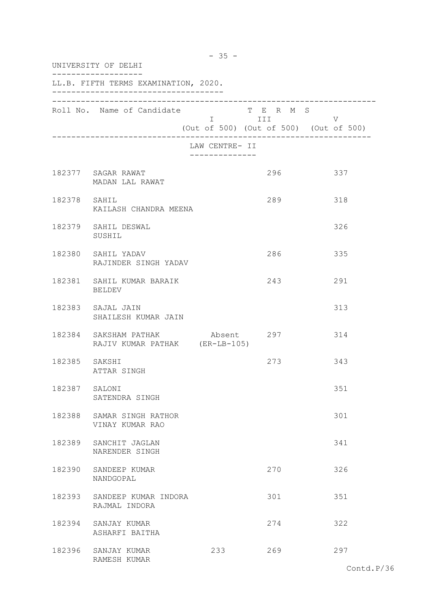| UNIVERSITY OF DELHI |                                                                    |                                   |                         |                                             |  |
|---------------------|--------------------------------------------------------------------|-----------------------------------|-------------------------|---------------------------------------------|--|
|                     | LL.B. FIFTH TERMS EXAMINATION, 2020.                               |                                   |                         |                                             |  |
|                     | Roll No. Name of Candidate                                         |                                   | T E R M S<br>I III DATU | V<br>(Out of 500) (Out of 500) (Out of 500) |  |
|                     |                                                                    | LAW CENTRE- II<br>--------------- |                         |                                             |  |
|                     | 182377 SAGAR RAWAT<br>MADAN LAL RAWAT                              |                                   | 296                     | 337                                         |  |
| 182378 SAHIL        | KAILASH CHANDRA MEENA                                              |                                   | 289                     | 318                                         |  |
|                     | 182379 SAHIL DESWAL<br>SUSHIL                                      |                                   |                         | 326                                         |  |
|                     | 182380 SAHIL YADAV<br>RAJINDER SINGH YADAV                         |                                   | 286                     | 335                                         |  |
|                     | 182381 SAHIL KUMAR BARAIK<br>BELDEV                                |                                   | 243                     | 291                                         |  |
|                     | 182383 SAJAL JAIN<br>SHAILESH KUMAR JAIN                           |                                   |                         | 313                                         |  |
|                     | 182384 SAKSHAM PATHAK Absent 297<br>RAJIV KUMAR PATHAK (ER-LB-105) |                                   |                         | 314                                         |  |
| 182385 SAKSHI       | ATTAR SINGH                                                        |                                   | 273                     | 343                                         |  |
| 182387              | SALONI<br>SATENDRA SINGH                                           |                                   |                         | 351                                         |  |
|                     | 182388 SAMAR SINGH RATHOR<br>VINAY KUMAR RAO                       |                                   |                         | 301                                         |  |
|                     | 182389 SANCHIT JAGLAN<br>NARENDER SINGH                            |                                   |                         | 341                                         |  |
|                     | 182390 SANDEEP KUMAR<br>NANDGOPAL                                  |                                   | 270                     | 326                                         |  |
|                     | 182393 SANDEEP KUMAR INDORA<br>RAJMAL INDORA                       |                                   | 301                     | 351                                         |  |
|                     | 182394 SANJAY KUMAR<br>ASHARFI BAITHA                              |                                   | 274                     | 322                                         |  |
|                     | 182396 SANJAY KUMAR<br>RAMESH KUMAR                                | 233                               | 269                     | 297                                         |  |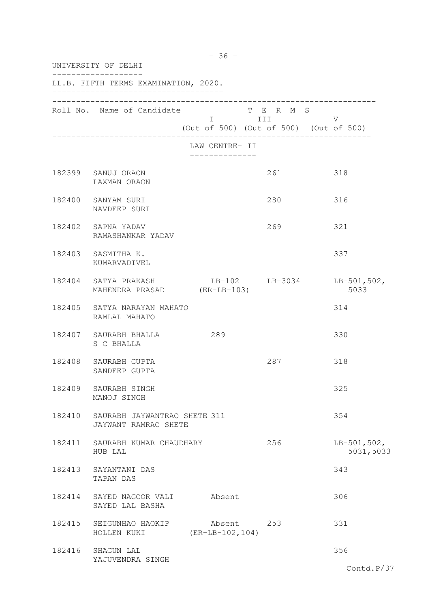|        | UNIVERSITY OF DELHI                                                            |                                        |                       |                            |
|--------|--------------------------------------------------------------------------------|----------------------------------------|-----------------------|----------------------------|
|        | LL.B. FIFTH TERMS EXAMINATION, 2020.                                           |                                        |                       |                            |
|        | Roll No. Name of Candidate                                                     | (Out of 500) (Out of 500) (Out of 500) | T E R M S<br>I III DA | V                          |
|        |                                                                                | LAW CENTRE- II                         |                       |                            |
|        | 182399 SANUJ ORAON<br>LAXMAN ORAON                                             |                                        | 261                   | 318                        |
|        | 182400 SANYAM SURI<br>NAVDEEP SURI                                             |                                        | 280                   | 316                        |
|        | 182402 SAPNA YADAV<br>RAMASHANKAR YADAV                                        |                                        | 269                   | 321                        |
|        | 182403 SASMITHA K.<br>KUMARVADIVEL                                             |                                        |                       | 337                        |
|        | 182404 SATYA PRAKASH LB-102 LB-3034 LB-501,502,<br>MAHENDRA PRASAD (ER-LB-103) |                                        |                       | 5033                       |
|        | 182405 SATYA NARAYAN MAHATO<br>RAMLAL MAHATO                                   |                                        |                       | 314                        |
|        | 182407 SAURABH BHALLA<br>S C BHALLA                                            | 289                                    |                       | 330                        |
|        | 182408 SAURABH GUPTA<br>SANDEEP GUPTA                                          |                                        | 287                   | 318                        |
| 182409 | SAURABH SINGH<br>MANOJ SINGH                                                   |                                        |                       | 325                        |
|        | 182410 SAURABH JAYWANTRAO SHETE 311<br>JAYWANT RAMRAO SHETE                    |                                        |                       | 354                        |
|        | 182411 SAURABH KUMAR CHAUDHARY<br>HUB LAL                                      |                                        | 256                   | $LB-501,502,$<br>5031,5033 |
|        | 182413 SAYANTANI DAS<br>TAPAN DAS                                              |                                        |                       | 343                        |
| 182414 | SAYED NAGOOR VALI<br>SAYED LAL BASHA                                           | Absent                                 |                       | 306                        |
|        | 182415 SEIGUNHAO HAOKIP<br>HOLLEN KUKI                                         | Absent 253<br>$(ER-LB-102, 104)$       |                       | 331                        |
|        | 182416 SHAGUN LAL<br>YAJUVENDRA SINGH                                          |                                        |                       | 356                        |
|        |                                                                                |                                        |                       | Contd.P/37                 |

- 36 -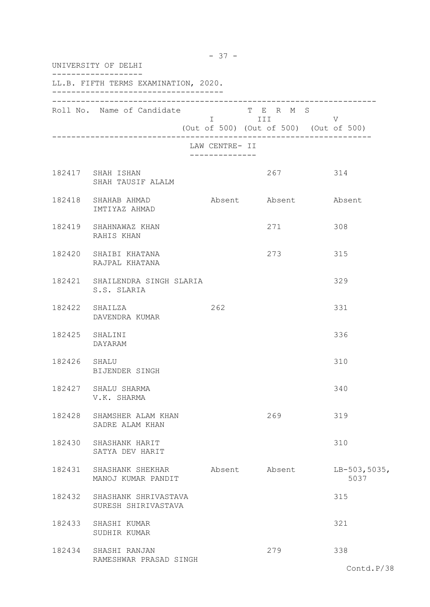|                | UNIVERSITY OF DELHI                            |                                               |                                                                                                                                                                        |                        |
|----------------|------------------------------------------------|-----------------------------------------------|------------------------------------------------------------------------------------------------------------------------------------------------------------------------|------------------------|
|                | LL.B. FIFTH TERMS EXAMINATION, 2020.           |                                               |                                                                                                                                                                        |                        |
|                | Roll No. Name of Candidate                     | $\mathbb T$ and the state of $\mathbb T$      | T E R M S<br>III and a structure of the structure of the structure of the structure of the structure of the structure of the<br>(Out of 500) (Out of 500) (Out of 500) | V                      |
|                |                                                | LAW CENTRE- II<br>. _ _ _ _ _ _ _ _ _ _ _ _ _ |                                                                                                                                                                        |                        |
|                | 182417 SHAH ISHAN<br>SHAH TAUSIF ALALM         |                                               | 267                                                                                                                                                                    | 314                    |
|                | 182418 SHAHAB AHMAD<br>IMTIYAZ AHMAD           |                                               | Absent Absent Absent                                                                                                                                                   |                        |
|                | 182419 SHAHNAWAZ KHAN<br>RAHIS KHAN            |                                               | 271                                                                                                                                                                    | 308                    |
|                | 182420 SHAIBI KHATANA<br>RAJPAL KHATANA        |                                               | 273                                                                                                                                                                    | 315                    |
|                | 182421 SHAILENDRA SINGH SLARIA<br>S.S. SLARIA  |                                               |                                                                                                                                                                        | 329                    |
|                | 182422 SHAILZA<br>DAVENDRA KUMAR               | 262                                           |                                                                                                                                                                        | 331                    |
| 182425 SHALINI | DAYARAM                                        |                                               |                                                                                                                                                                        | 336                    |
| 182426 SHALU   | BIJENDER SINGH                                 |                                               |                                                                                                                                                                        | 310                    |
|                | 182427 SHALU SHARMA<br>V.K. SHARMA             |                                               |                                                                                                                                                                        | 340                    |
|                | 182428 SHAMSHER ALAM KHAN<br>SADRE ALAM KHAN   |                                               | 269                                                                                                                                                                    | 319                    |
|                | 182430 SHASHANK HARIT<br>SATYA DEV HARIT       |                                               |                                                                                                                                                                        | 310                    |
|                | 182431 SHASHANK SHEKHAR<br>MANOJ KUMAR PANDIT  |                                               | Absent Absent                                                                                                                                                          | $LB-503,5035,$<br>5037 |
| 182432         | SHASHANK SHRIVASTAVA<br>SURESH SHIRIVASTAVA    |                                               |                                                                                                                                                                        | 315                    |
|                | 182433 SHASHI KUMAR<br>SUDHIR KUMAR            |                                               |                                                                                                                                                                        | 321                    |
|                | 182434 SHASHI RANJAN<br>RAMESHWAR PRASAD SINGH |                                               | 279                                                                                                                                                                    | 338                    |
|                |                                                |                                               |                                                                                                                                                                        | Contd.P/38             |

- 37 -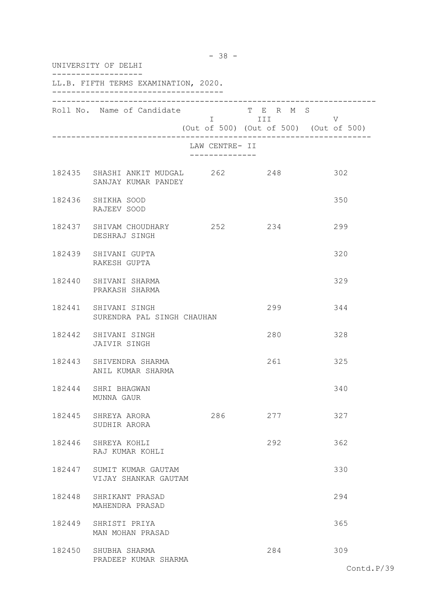| UNIVERSITY OF DELHI                                   |                                               |                                                                                                                             |                                             |  |  |
|-------------------------------------------------------|-----------------------------------------------|-----------------------------------------------------------------------------------------------------------------------------|---------------------------------------------|--|--|
| LL.B. FIFTH TERMS EXAMINATION, 2020.                  |                                               |                                                                                                                             |                                             |  |  |
| Roll No. Name of Candidate                            |                                               | T E R M S<br>I III and it is not the set of the set of the set of the set of the set of the set of the set of the set of th | V<br>(Out of 500) (Out of 500) (Out of 500) |  |  |
|                                                       | LAW CENTRE- II<br>. _ _ _ _ _ _ _ _ _ _ _ _ _ |                                                                                                                             |                                             |  |  |
| 182435 SHASHI ANKIT MUDGAL 262<br>SANJAY KUMAR PANDEY |                                               | 248                                                                                                                         | 302                                         |  |  |
| 182436 SHIKHA SOOD<br>RAJEEV SOOD                     |                                               |                                                                                                                             | 350                                         |  |  |
| 182437 SHIVAM CHOUDHARY 252<br>DESHRAJ SINGH          |                                               | 234                                                                                                                         | 299                                         |  |  |
| 182439 SHIVANI GUPTA<br>RAKESH GUPTA                  |                                               |                                                                                                                             | 320                                         |  |  |
| 182440 SHIVANI SHARMA<br>PRAKASH SHARMA               |                                               |                                                                                                                             | 329                                         |  |  |
| 182441 SHIVANI SINGH<br>SURENDRA PAL SINGH CHAUHAN    |                                               | 299                                                                                                                         | 344                                         |  |  |
| 182442 SHIVANI SINGH<br>JAIVIR SINGH                  |                                               | 280                                                                                                                         | 328                                         |  |  |
| 182443 SHIVENDRA SHARMA<br>ANIL KUMAR SHARMA          |                                               | 261                                                                                                                         | 325                                         |  |  |
| 182444 SHRI BHAGWAN<br>MUNNA GAUR                     |                                               |                                                                                                                             | 340                                         |  |  |
| 182445 SHREYA ARORA<br>SUDHIR ARORA                   | 286                                           | 277                                                                                                                         | 327                                         |  |  |
| 182446 SHREYA KOHLI<br>RAJ KUMAR KOHLI                |                                               | 292                                                                                                                         | 362                                         |  |  |
| 182447 SUMIT KUMAR GAUTAM<br>VIJAY SHANKAR GAUTAM     |                                               |                                                                                                                             | 330                                         |  |  |
| 182448 SHRIKANT PRASAD<br>MAHENDRA PRASAD             |                                               |                                                                                                                             | 294                                         |  |  |
| 182449 SHRISTI PRIYA<br>MAN MOHAN PRASAD              |                                               |                                                                                                                             | 365                                         |  |  |
| 182450 SHUBHA SHARMA<br>PRADEEP KUMAR SHARMA          |                                               | 284                                                                                                                         | 309                                         |  |  |

- 38 -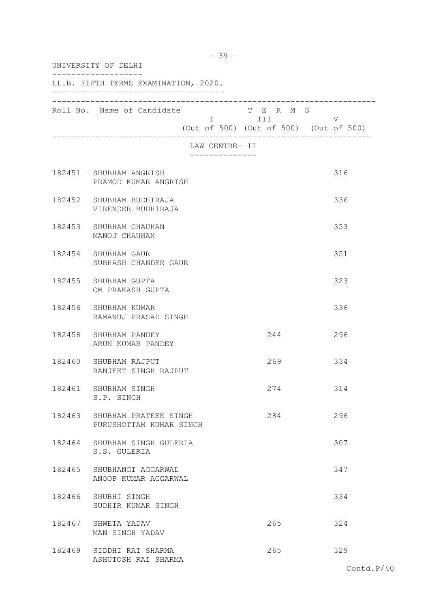| UNIVERSITY OF DELHI |                                                         |                                |                       |                                             |
|---------------------|---------------------------------------------------------|--------------------------------|-----------------------|---------------------------------------------|
|                     | LL.B. FIFTH TERMS EXAMINATION, 2020.                    |                                |                       |                                             |
|                     | Roll No. Name of Candidate                              |                                | T E R M S<br>I III DA | V<br>(Out of 500) (Out of 500) (Out of 500) |
|                     |                                                         | LAW CENTRE- II<br>. <u>.</u> . |                       |                                             |
|                     | 182451 SHUBHAM ANGRISH<br>PRAMOD KUMAR ANGRISH          |                                |                       | 316                                         |
|                     | 182452 SHUBHAM BUDHIRAJA<br>VIRENDER BUDHIRAJA          |                                |                       | 336                                         |
|                     | 182453 SHUBHAM CHAUHAN<br>MANOJ CHAUHAN                 |                                |                       | 353                                         |
|                     | 182454 SHUBHAM GAUR<br>SUBHASH CHANDER GAUR             |                                |                       | 351                                         |
|                     | 182455 SHUBHAM GUPTA<br>OM PRAKASH GUPTA                |                                |                       | 323                                         |
|                     | 182456 SHUBHAM KUMAR<br>RAMANUJ PRASAD SINGH            |                                |                       | 336                                         |
|                     | 182458 SHUBHAM PANDEY<br>ARUN KUMAR PANDEY              |                                | 244                   | 296                                         |
|                     | 182460 SHUBHAM RAJPUT<br>RANJEET SINGH RAJPUT           |                                | 269                   | 334                                         |
|                     | 182461 SHUBHAM SINGH<br>S.P. SINGH                      |                                | 274                   | 314                                         |
|                     | 182463 SHUBHAM PRATEEK SINGH<br>PURUSHOTTAM KUMAR SINGH |                                | 284                   | 296                                         |
|                     | 182464 SHUBHAM SINGH GULERIA<br>S.S. GULERIA            |                                |                       | 307                                         |
|                     | 182465 SHUBHANGI AGGARWAL<br>ANOOP KUMAR AGGARWAL       |                                |                       | 347                                         |
|                     | 182466 SHUBHI SINGH<br>SUDHIR KUMAR SINGH               |                                |                       | 334                                         |
|                     | 182467 SHWETA YADAV<br>MAN SINGH YADAV                  |                                | 265                   | 324                                         |
|                     | 182469 SIDDHI RAI SHARMA<br>ASHUTOSH RAI SHARMA         |                                | 265                   | 329                                         |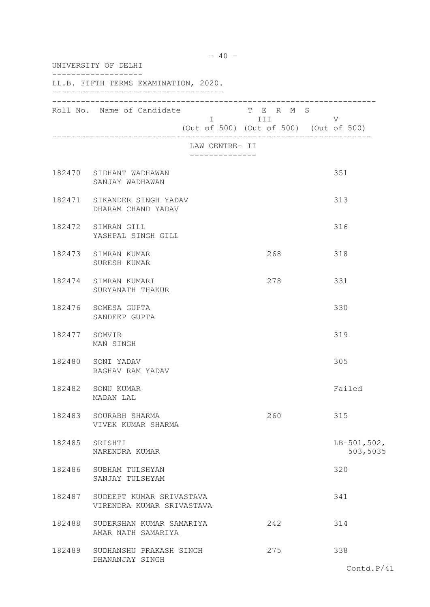|               | UNIVERSITY OF DELHI                                   |                |                                                                                                                                                                                                                                                                                       |                           |  |
|---------------|-------------------------------------------------------|----------------|---------------------------------------------------------------------------------------------------------------------------------------------------------------------------------------------------------------------------------------------------------------------------------------|---------------------------|--|
|               | LL.B. FIFTH TERMS EXAMINATION, 2020.                  |                |                                                                                                                                                                                                                                                                                       |                           |  |
|               | Roll No. Name of Candidate                            |                | T E R M S<br>I III DA SANTA DE LA TITULA DE LA CATALLA DE LA CATALLA DE LA CATALLA DE LA CATALLA DE LA CATALLA DE LA CATAL<br>DE LA CATALLA DE LA CATALLA DE LA CATALLA DE LA CATALLA DE LA CATALLA DE LA CATALLA DE LA CATALLA DE LA CATAL<br>(Out of 500) (Out of 500) (Out of 500) | V                         |  |
|               |                                                       | LAW CENTRE- II |                                                                                                                                                                                                                                                                                       |                           |  |
|               | 182470 SIDHANT WADHAWAN<br>SANJAY WADHAWAN            |                |                                                                                                                                                                                                                                                                                       | 351                       |  |
|               | 182471 SIKANDER SINGH YADAV<br>DHARAM CHAND YADAV     |                |                                                                                                                                                                                                                                                                                       | 313                       |  |
|               | 182472 SIMRAN GILL<br>YASHPAL SINGH GILL              |                |                                                                                                                                                                                                                                                                                       | 316                       |  |
|               | 182473 SIMRAN KUMAR<br>SURESH KUMAR                   |                | 268                                                                                                                                                                                                                                                                                   | 318                       |  |
|               | 182474 SIMRAN KUMARI<br>SURYANATH THAKUR              |                | 278                                                                                                                                                                                                                                                                                   | 331                       |  |
|               | 182476 SOMESA GUPTA<br>SANDEEP GUPTA                  |                |                                                                                                                                                                                                                                                                                       | 330                       |  |
| 182477 SOMVIR | MAN SINGH                                             |                |                                                                                                                                                                                                                                                                                       | 319                       |  |
|               | 182480 SONI YADAV<br>RAGHAV RAM YADAV                 |                |                                                                                                                                                                                                                                                                                       | 305                       |  |
|               | 182482 SONU KUMAR<br>MADAN LAL                        |                |                                                                                                                                                                                                                                                                                       | Failed                    |  |
|               | 182483 SOURABH SHARMA<br>VIVEK KUMAR SHARMA           |                | 260                                                                                                                                                                                                                                                                                   | 315                       |  |
|               | 182485 SRISHTI<br>NARENDRA KUMAR                      |                |                                                                                                                                                                                                                                                                                       | $LB-501,502,$<br>503,5035 |  |
| 182486        | SUBHAM TULSHYAN<br>SANJAY TULSHYAM                    |                |                                                                                                                                                                                                                                                                                       | 320                       |  |
| 182487        | SUDEEPT KUMAR SRIVASTAVA<br>VIRENDRA KUMAR SRIVASTAVA |                |                                                                                                                                                                                                                                                                                       | 341                       |  |
| 182488        | SUDERSHAN KUMAR SAMARIYA<br>AMAR NATH SAMARIYA        |                | 242                                                                                                                                                                                                                                                                                   | 314                       |  |
| 182489        | SUDHANSHU PRAKASH SINGH<br>DHANANJAY SINGH            |                | 275                                                                                                                                                                                                                                                                                   | 338                       |  |
|               |                                                       |                |                                                                                                                                                                                                                                                                                       | Contd.P/41                |  |

 $- 40 -$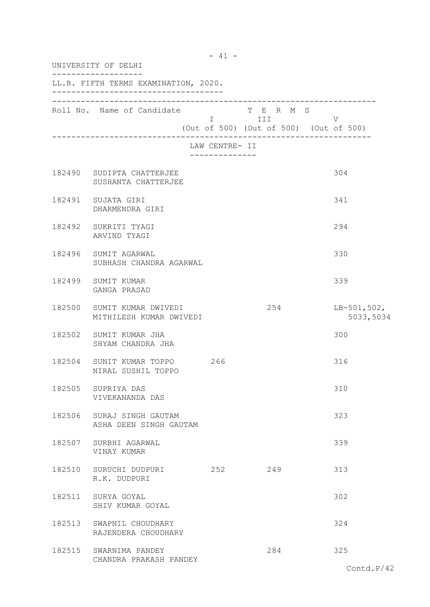| UNIVERSITY OF DELHI                                   |                              |                                                                   |                            |
|-------------------------------------------------------|------------------------------|-------------------------------------------------------------------|----------------------------|
| LL.B. FIFTH TERMS EXAMINATION, 2020.                  |                              |                                                                   |                            |
| Roll No. Name of Candidate                            |                              | T E R M S<br>I III DATU<br>(Out of 500) (Out of 500) (Out of 500) | V                          |
|                                                       | LAW CENTRE- II<br>. <u>.</u> |                                                                   |                            |
| 182490 SUDIPTA CHATTERJEE<br>SUSHANTA CHATTERJEE      |                              |                                                                   | 304                        |
| 182491 SUJATA GIRI<br>DHARMENDRA GIRI                 |                              |                                                                   | 341                        |
| 182492 SUKRITI TYAGI<br>ARVIND TYAGI                  |                              |                                                                   | 294                        |
| 182496 SUMIT AGARWAL<br>SUBHASH CHANDRA AGARWAL       |                              |                                                                   | 330                        |
| 182499 SUMIT KUMAR<br>GANGA PRASAD                    |                              |                                                                   | 339                        |
| 182500 SUMIT KUMAR DWIVEDI<br>MITHILESH KUMAR DWIVEDI |                              | 254                                                               | $LB-501,502,$<br>5033,5034 |
| 182502 SUMIT KUMAR JHA<br>SHYAM CHANDRA JHA           |                              |                                                                   | 300                        |
| 182504 SUNIT KUMAR TOPPO 266<br>NIRAL SUSHIL TOPPO    |                              |                                                                   | 316                        |
| 182505 SUPRIYA DAS<br>VIVEKANANDA DAS                 |                              |                                                                   | 310                        |
| 182506 SURAJ SINGH GAUTAM<br>ASHA DEEN SINGH GAUTAM   |                              |                                                                   | 323                        |
| 182507 SURBHI AGARWAL<br>VINAY KUMAR                  |                              |                                                                   | 339                        |
| 182510 SURUCHI DUDPURI<br>R.K. DUDPURI                | 252                          | 249                                                               | 313                        |
| 182511 SURYA GOYAL<br>SHIV KUMAR GOYAL                |                              |                                                                   | 302                        |
| 182513 SWAPNIL CHOUDHARY<br>RAJENDERA CHOUDHARY       |                              |                                                                   | 324                        |
| 182515 SWARNIMA PANDEY<br>CHANDRA PRAKASH PANDEY      |                              | 284                                                               | 325                        |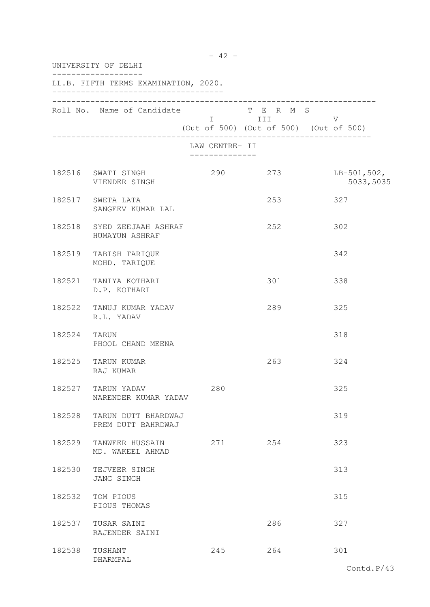| UNIVERSITY OF DELHI |                                                  |                                                 |                                                        |                            |  |
|---------------------|--------------------------------------------------|-------------------------------------------------|--------------------------------------------------------|----------------------------|--|
|                     | LL.B. FIFTH TERMS EXAMINATION, 2020.             |                                                 |                                                        |                            |  |
|                     | Roll No. Name of Candidate T E R M S             |                                                 | <b>I</b> III<br>(Out of 500) (Out of 500) (Out of 500) | V                          |  |
|                     |                                                  | LAW CENTRE- II<br>. _ _ _ _ _ _ _ _ _ _ _ _ _ _ |                                                        |                            |  |
|                     | 182516 SWATI SINGH<br>VIENDER SINGH              | 290                                             | 273                                                    | $LB-501,502,$<br>5033,5035 |  |
|                     | 182517 SWETA LATA<br>SANGEEV KUMAR LAL           |                                                 | 253                                                    | 327                        |  |
|                     | 182518 SYED ZEEJAAH ASHRAF<br>HUMAYUN ASHRAF     |                                                 | 252                                                    | 302                        |  |
|                     | 182519 TABISH TARIQUE<br>MOHD. TARIQUE           |                                                 |                                                        | 342                        |  |
|                     | 182521 TANIYA KOTHARI<br>D.P. KOTHARI            |                                                 | 301                                                    | 338                        |  |
|                     | 182522 TANUJ KUMAR YADAV<br>R.L. YADAV           |                                                 | 289                                                    | 325                        |  |
| 182524 TARUN        | PHOOL CHAND MEENA                                |                                                 |                                                        | 318                        |  |
|                     | 182525 TARUN KUMAR<br>RAJ KUMAR                  |                                                 | 263                                                    | 324                        |  |
| 182527              | TARUN YADAV<br>NARENDER KUMAR YADAV              | 280                                             |                                                        | 325                        |  |
|                     | 182528 TARUN DUTT BHARDWAJ<br>PREM DUTT BAHRDWAJ |                                                 |                                                        | 319                        |  |
| 182529              | TANWEER HUSSAIN<br>MD. WAKEEL AHMAD              | 271                                             | 254                                                    | 323                        |  |
| 182530              | TEJVEER SINGH<br>JANG SINGH                      |                                                 |                                                        | 313                        |  |
| 182532              | TOM PIOUS<br>PIOUS THOMAS                        |                                                 |                                                        | 315                        |  |
| 182537              | TUSAR SAINI<br>RAJENDER SAINI                    |                                                 | 286                                                    | 327                        |  |
| 182538              | TUSHANT<br>DHARMPAL                              | 245                                             | 264                                                    | 301                        |  |

- 42 -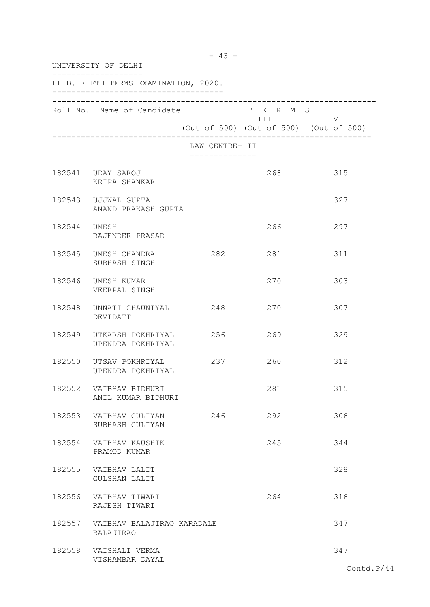|              | UNIVERSITY OF DELHI                            |                                |                                                                                                                                                                       |            |
|--------------|------------------------------------------------|--------------------------------|-----------------------------------------------------------------------------------------------------------------------------------------------------------------------|------------|
|              | LL.B. FIFTH TERMS EXAMINATION, 2020.           |                                |                                                                                                                                                                       |            |
|              | Roll No. Name of Candidate                     |                                | T E R M S<br>in the state of the state of the state of the state of the state of the state of the state of the state of the<br>(Out of 500) (Out of 500) (Out of 500) | V          |
|              |                                                | LAW CENTRE- II<br>. <u>.</u> . |                                                                                                                                                                       |            |
|              | 182541 UDAY SAROJ<br>KRIPA SHANKAR             |                                | 268                                                                                                                                                                   | 315        |
|              | 182543 UJJWAL GUPTA<br>ANAND PRAKASH GUPTA     |                                |                                                                                                                                                                       | 327        |
| 182544 UMESH | RAJENDER PRASAD                                |                                | 266                                                                                                                                                                   | 297        |
|              | 182545 UMESH CHANDRA<br>SUBHASH SINGH          | 282                            | 281                                                                                                                                                                   | 311        |
|              | 182546 UMESH KUMAR<br>VEERPAL SINGH            |                                | 270                                                                                                                                                                   | 303        |
| 182548       | UNNATI CHAUNIYAL 248<br>DEVIDATT               |                                | 270                                                                                                                                                                   | 307        |
| 182549       | UTKARSH POKHRIYAL<br>UPENDRA POKHRIYAL         | 256                            | 269                                                                                                                                                                   | 329        |
|              | 182550 UTSAV POKHRIYAL<br>UPENDRA POKHRIYAL    | 237                            | 260                                                                                                                                                                   | 312        |
| 182552       | VAIBHAV BIDHURI<br>ANIL KUMAR BIDHURI          |                                | 281                                                                                                                                                                   | 315        |
|              | 182553 VAIBHAV GULIYAN<br>SUBHASH GULIYAN      | 246                            | 292                                                                                                                                                                   | 306        |
| 182554       | VAIBHAV KAUSHIK<br>PRAMOD KUMAR                |                                | 245                                                                                                                                                                   | 344        |
| 182555       | VAIBHAV LALIT<br><b>GULSHAN LALIT</b>          |                                |                                                                                                                                                                       | 328        |
| 182556       | VAIBHAV TIWARI<br>RAJESH TIWARI                |                                | 264                                                                                                                                                                   | 316        |
| 182557       | VAIBHAV BALAJIRAO KARADALE<br><b>BALAJIRAO</b> |                                |                                                                                                                                                                       | 347        |
|              | 182558 VAISHALI VERMA<br>VISHAMBAR DAYAL       |                                |                                                                                                                                                                       | 347        |
|              |                                                |                                |                                                                                                                                                                       | Contd.P/44 |

- 43 -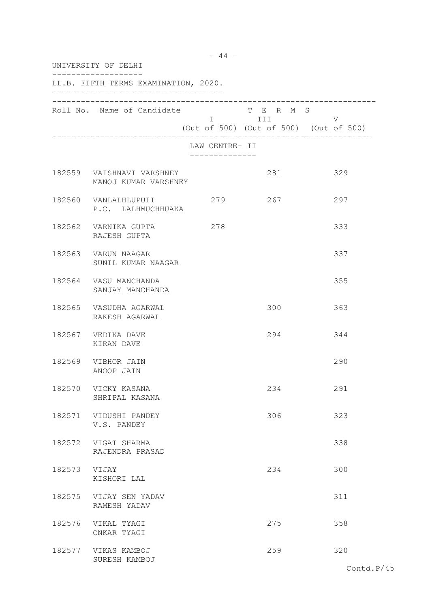| UNIVERSITY OF DELHI |                                                   |                |                                                                                                                            |                                             |  |
|---------------------|---------------------------------------------------|----------------|----------------------------------------------------------------------------------------------------------------------------|---------------------------------------------|--|
|                     | LL.B. FIFTH TERMS EXAMINATION, 2020.              |                |                                                                                                                            |                                             |  |
|                     | Roll No. Name of Candidate                        |                | T E R M S<br>I III DA SANTA DE LA CATALLA DE LA CATALLA DE LA CATALLA DE LA CATALLA DE LA CATALLA DE LA CATALLA DE LA CATA | V<br>(Out of 500) (Out of 500) (Out of 500) |  |
|                     |                                                   | LAW CENTRE- II |                                                                                                                            |                                             |  |
|                     | 182559 VAISHNAVI VARSHNEY<br>MANOJ KUMAR VARSHNEY |                | 281                                                                                                                        | 329                                         |  |
|                     | 182560 VANLALHLUPUII<br>P.C. LALHMUCHHUAKA        | 279            | 267                                                                                                                        | 297                                         |  |
|                     | 182562 VARNIKA GUPTA<br>RAJESH GUPTA              | 278            |                                                                                                                            | 333                                         |  |
|                     | 182563 VARUN NAAGAR<br>SUNIL KUMAR NAAGAR         |                |                                                                                                                            | 337                                         |  |
|                     | 182564 VASU MANCHANDA<br>SANJAY MANCHANDA         |                |                                                                                                                            | 355                                         |  |
|                     | 182565 VASUDHA AGARWAL<br>RAKESH AGARWAL          |                | 300                                                                                                                        | 363                                         |  |
|                     | 182567 VEDIKA DAVE<br>KIRAN DAVE                  |                | 294                                                                                                                        | 344                                         |  |
|                     | 182569 VIBHOR JAIN<br>ANOOP JAIN                  |                |                                                                                                                            | 290                                         |  |
| 182570              | VICKY KASANA<br>SHRIPAL KASANA                    |                | 234                                                                                                                        | 291                                         |  |
|                     | 182571 VIDUSHI PANDEY<br>V.S. PANDEY              |                | 306                                                                                                                        | 323                                         |  |
|                     | 182572 VIGAT SHARMA<br>RAJENDRA PRASAD            |                |                                                                                                                            | 338                                         |  |
| 182573 VIJAY        | KISHORI LAL                                       |                | 234                                                                                                                        | 300                                         |  |
|                     | 182575 VIJAY SEN YADAV<br>RAMESH YADAV            |                |                                                                                                                            | 311                                         |  |
| 182576              | VIKAL TYAGI<br>ONKAR TYAGI                        |                | 275                                                                                                                        | 358                                         |  |
|                     | 182577 VIKAS KAMBOJ<br>SURESH KAMBOJ              |                | 259                                                                                                                        | 320                                         |  |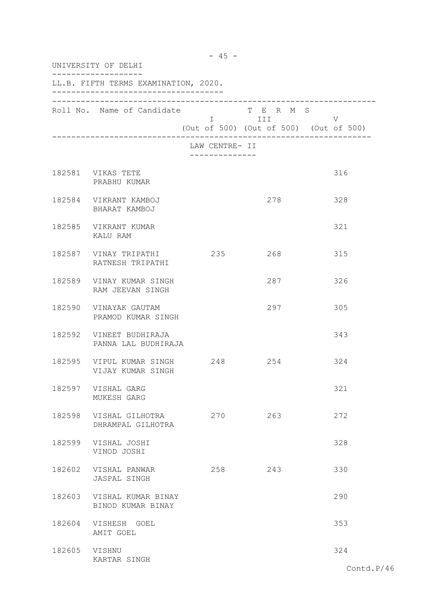| UNIVERSITY OF DELHI |                                                       |                                               |                       |                                             |
|---------------------|-------------------------------------------------------|-----------------------------------------------|-----------------------|---------------------------------------------|
|                     | LL.B. FIFTH TERMS EXAMINATION, 2020.                  |                                               |                       |                                             |
|                     | Roll No. Name of Candidate                            |                                               | T E R M S<br>I III DI | V<br>(Out of 500) (Out of 500) (Out of 500) |
|                     |                                                       | LAW CENTRE- II<br>. _ _ _ _ _ _ _ _ _ _ _ _ _ |                       |                                             |
|                     | 182581 VIKAS TETE<br>PRABHU KUMAR                     |                                               |                       | 316                                         |
|                     | 182584 VIKRANT KAMBOJ<br>BHARAT KAMBOJ                |                                               | 278                   | 328                                         |
|                     | 182585 VIKRANT KUMAR<br>KALU RAM                      |                                               |                       | 321                                         |
|                     | 182587 VINAY TRIPATHI 235<br>RATNESH TRIPATHI         |                                               | 268                   | 315                                         |
|                     | 182589 VINAY KUMAR SINGH<br>RAM JEEVAN SINGH          |                                               | 287                   | 326                                         |
|                     | 182590 VINAYAK GAUTAM<br>PRAMOD KUMAR SINGH           |                                               | 297                   | 305                                         |
|                     | 182592 VINEET BUDHIRAJA<br>PANNA LAL BUDHIRAJA        |                                               |                       | 343                                         |
|                     | 182595 VIPUL KUMAR SINGH 248 254<br>VIJAY KUMAR SINGH |                                               |                       | 324                                         |
|                     | 182597 VISHAL GARG<br>MUKESH GARG                     |                                               |                       | 321                                         |
|                     | 182598 VISHAL GILHOTRA<br>DHRAMPAL GILHOTRA           | 270                                           | 263                   | 272                                         |
|                     | 182599 VISHAL JOSHI<br>VINOD JOSHI                    |                                               |                       | 328                                         |
|                     | 182602 VISHAL PANWAR<br>JASPAL SINGH                  | 258                                           | 243                   | 330                                         |
|                     | 182603 VISHAL KUMAR BINAY<br>BINOD KUMAR BINAY        |                                               |                       | 290                                         |
|                     | 182604 VISHESH GOEL<br>AMIT GOEL                      |                                               |                       | 353                                         |
| 182605 VISHNU       | KARTAR SINGH                                          |                                               |                       | 324                                         |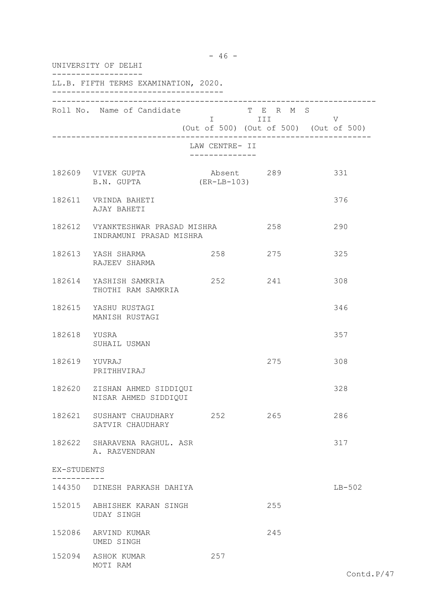|               | UNIVERSITY OF DELHI                                          |                                                 |                         |          |
|---------------|--------------------------------------------------------------|-------------------------------------------------|-------------------------|----------|
|               | LL.B. FIFTH TERMS EXAMINATION, 2020.                         |                                                 |                         |          |
|               | Roll No. Name of Candidate                                   | (Out of 500) (Out of 500) (Out of 500)          | T E R M S<br>I III DATU | V        |
|               |                                                              | LAW CENTRE- II<br>. _ _ _ _ _ _ _ _ _ _ _ _ _ _ |                         |          |
|               | 182609 VIVEK GUPTA<br>B.N. GUPTA                             | Absent 289<br>(ER-LB-103)                       |                         | 331      |
|               | 182611 VRINDA BAHETI<br>AJAY BAHETI                          |                                                 |                         | 376      |
|               | 182612 VYANKTESHWAR PRASAD MISHRA<br>INDRAMUNI PRASAD MISHRA |                                                 | 258                     | 290      |
|               | 182613 YASH SHARMA<br>RAJEEV SHARMA                          | 258                                             | 275                     | 325      |
|               | 182614 YASHISH SAMKRIA<br>THOTHI RAM SAMKRIA                 | 252                                             | 241                     | 308      |
|               | 182615 YASHU RUSTAGI<br>MANISH RUSTAGI                       |                                                 |                         | 346      |
| 182618 YUSRA  | SUHAIL USMAN                                                 |                                                 |                         | 357      |
| 182619 YUVRAJ | PRITHHVIRAJ                                                  |                                                 | 275                     | 308      |
|               | 182620 ZISHAN AHMED SIDDIQUI<br>NISAR AHMED SIDDIQUI         |                                                 |                         | 328      |
|               | 182621 SUSHANT CHAUDHARY 252<br>SATVIR CHAUDHARY             |                                                 | 265                     | 286      |
|               | 182622 SHARAVENA RAGHUL. ASR<br>A. RAZVENDRAN                |                                                 |                         | 317      |
| EX-STUDENTS   |                                                              |                                                 |                         |          |
|               | 144350 DINESH PARKASH DAHIYA                                 |                                                 |                         | $LB-502$ |
|               | 152015 ABHISHEK KARAN SINGH<br>UDAY SINGH                    |                                                 | 255                     |          |
|               | 152086 ARVIND KUMAR<br>UMED SINGH                            |                                                 | 245                     |          |
|               | 152094 ASHOK KUMAR<br>MOTI RAM                               | 257                                             |                         |          |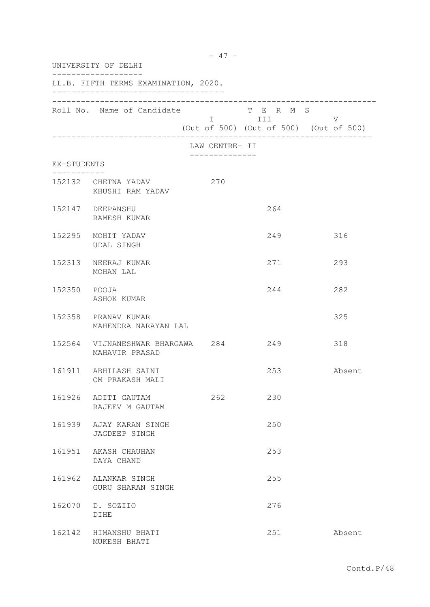| UNIVERSITY OF DELHI |                                                        |                |                         |                                             |  |  |
|---------------------|--------------------------------------------------------|----------------|-------------------------|---------------------------------------------|--|--|
|                     | LL.B. FIFTH TERMS EXAMINATION, 2020.                   |                |                         |                                             |  |  |
|                     | Roll No. Name of Candidate                             |                | T E R M S<br>I III DATU | V<br>(Out of 500) (Out of 500) (Out of 500) |  |  |
|                     |                                                        | LAW CENTRE- II |                         |                                             |  |  |
| EX-STUDENTS         |                                                        |                |                         |                                             |  |  |
|                     | 152132 CHETNA YADAV<br>KHUSHI RAM YADAV                | 270            |                         |                                             |  |  |
|                     | 152147 DEEPANSHU<br>RAMESH KUMAR                       |                | 264                     |                                             |  |  |
|                     | 152295 MOHIT YADAV<br><b>UDAL SINGH</b>                |                | 249                     | 316                                         |  |  |
|                     | 152313 NEERAJ KUMAR<br>MOHAN LAL                       |                | 271                     | 293                                         |  |  |
| 152350 POOJA        | ASHOK KUMAR                                            |                | 244                     | 282                                         |  |  |
|                     | 152358 PRANAV KUMAR<br>MAHENDRA NARAYAN LAL            |                |                         | 325                                         |  |  |
|                     | 152564 VIJNANESHWAR BHARGAWA 284 249<br>MAHAVIR PRASAD |                |                         | 318                                         |  |  |
|                     | 161911 ABHILASH SAINI<br>OM PRAKASH MALI               |                | 253                     | Absent                                      |  |  |
|                     | 161926 ADITI GAUTAM<br>RAJEEV M GAUTAM                 | 262            | 230                     |                                             |  |  |
|                     | 161939 AJAY KARAN SINGH<br>JAGDEEP SINGH               |                | 250                     |                                             |  |  |
|                     | 161951 AKASH CHAUHAN<br>DAYA CHAND                     |                | 253                     |                                             |  |  |
|                     | 161962 ALANKAR SINGH<br>GURU SHARAN SINGH              |                | 255                     |                                             |  |  |
|                     | 162070 D. SOZIIO<br>DIHE                               |                | 276                     |                                             |  |  |
|                     | 162142 HIMANSHU BHATI<br>MUKESH BHATI                  |                | 251                     | Absent                                      |  |  |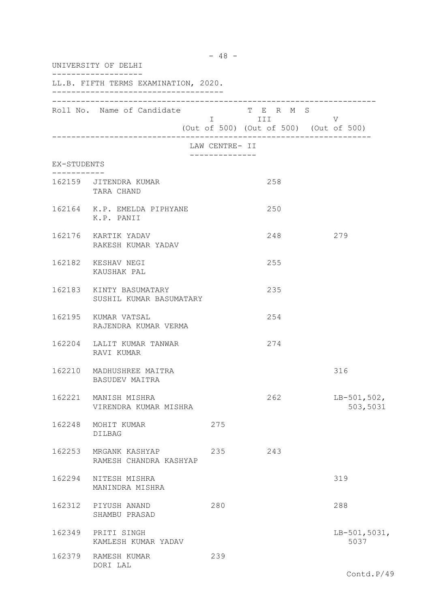|             | $-48 -$<br>UNIVERSITY OF DELHI                     |                                  |                                                                |                           |  |  |
|-------------|----------------------------------------------------|----------------------------------|----------------------------------------------------------------|---------------------------|--|--|
|             | LL.B. FIFTH TERMS EXAMINATION, 2020.               |                                  |                                                                |                           |  |  |
|             | Roll No. Name of Candidate                         |                                  | T E R M S<br>I III V<br>(Out of 500) (Out of 500) (Out of 500) |                           |  |  |
|             |                                                    | LAW CENTRE- II<br>-------------- |                                                                |                           |  |  |
| EX-STUDENTS |                                                    |                                  |                                                                |                           |  |  |
|             | 162159 JITENDRA KUMAR<br>TARA CHAND                |                                  | 258                                                            |                           |  |  |
|             | 162164 K.P. EMELDA PIPHYANE<br>K.P. PANII          |                                  | 250                                                            |                           |  |  |
|             | 162176 KARTIK YADAV<br>RAKESH KUMAR YADAV          |                                  | 248                                                            | 279                       |  |  |
|             | 162182 KESHAV NEGI<br>KAUSHAK PAL                  |                                  | 255                                                            |                           |  |  |
|             | 162183 KINTY BASUMATARY<br>SUSHIL KUMAR BASUMATARY |                                  | 235                                                            |                           |  |  |
|             | 162195 KUMAR VATSAL<br>RAJENDRA KUMAR VERMA        |                                  | 254                                                            |                           |  |  |
|             | 162204 LALIT KUMAR TANWAR<br>RAVI KUMAR            |                                  | 274                                                            |                           |  |  |
|             | 162210 MADHUSHREE MAITRA<br>BASUDEV MAITRA         |                                  |                                                                | 316                       |  |  |
| 162221      | MANISH MISHRA<br>VIRENDRA KUMAR MISHRA             |                                  | 262                                                            | $LB-501,502,$<br>503,5031 |  |  |
| 162248      | MOHIT KUMAR<br>DILBAG                              | 275                              |                                                                |                           |  |  |
|             | 162253 MRGANK KASHYAP<br>RAMESH CHANDRA KASHYAP    | 235                              | 243                                                            |                           |  |  |
|             | 162294 NITESH MISHRA<br>MANINDRA MISHRA            |                                  |                                                                | 319                       |  |  |
|             | 162312 PIYUSH ANAND<br>SHAMBU PRASAD               | 280                              |                                                                | 288                       |  |  |
|             | 162349 PRITI SINGH<br>KAMLESH KUMAR YADAV          |                                  |                                                                | $LB-501, 5031,$<br>5037   |  |  |
|             | 162379 RAMESH KUMAR<br>DORI LAL                    | 239                              |                                                                |                           |  |  |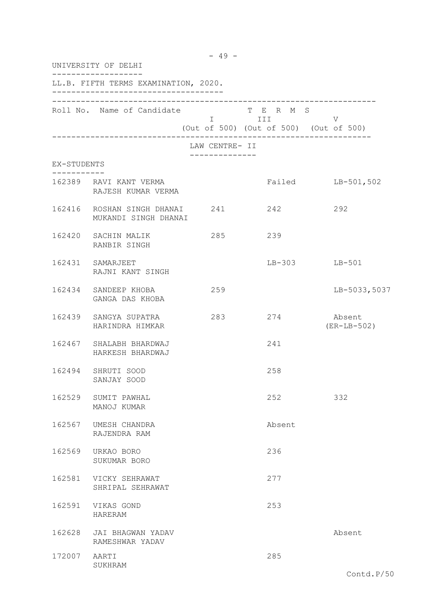|              | UNIVERSITY OF DELHI                                        | $-49 -$        |                                                                  |                         |
|--------------|------------------------------------------------------------|----------------|------------------------------------------------------------------|-------------------------|
|              | LL.B. FIFTH TERMS EXAMINATION, 2020.                       |                |                                                                  |                         |
|              | Roll No. Name of Candidate                                 |                | T E R M S<br>$I$ III V<br>(Out of 500) (Out of 500) (Out of 500) |                         |
|              |                                                            | LAW CENTRE- II |                                                                  |                         |
| EX-STUDENTS  |                                                            | -------------- |                                                                  |                         |
|              | 162389 RAVI KANT VERMA<br>RAJESH KUMAR VERMA               |                |                                                                  | Failed LB-501,502       |
|              | 162416 ROSHAN SINGH DHANAI 241 242<br>MUKANDI SINGH DHANAI |                |                                                                  | 292                     |
|              | 162420 SACHIN MALIK<br>RANBIR SINGH                        | 285            | 239                                                              |                         |
|              | 162431 SAMARJEET<br>RAJNI KANT SINGH                       |                |                                                                  | LB-303 LB-501           |
|              | 162434 SANDEEP KHOBA<br>GANGA DAS KHOBA                    | 259            |                                                                  | LB-5033,5037            |
|              | 162439 SANGYA SUPATRA<br>HARINDRA HIMKAR                   | 283            | 274                                                              | Absent<br>$(ER-LB-502)$ |
|              | 162467 SHALABH BHARDWAJ<br>HARKESH BHARDWAJ                |                | 241                                                              |                         |
|              | 162494 SHRUTI SOOD<br>SANJAY SOOD                          |                | 258                                                              |                         |
|              | 162529 SUMIT PAWHAL<br>MANOJ KUMAR                         |                | 252                                                              | 332                     |
| 162567       | UMESH CHANDRA<br>RAJENDRA RAM                              |                | Absent                                                           |                         |
| 162569       | URKAO BORO<br>SUKUMAR BORO                                 |                | 236                                                              |                         |
|              | 162581 VICKY SEHRAWAT<br>SHRIPAL SEHRAWAT                  |                | 277                                                              |                         |
|              | 162591 VIKAS GOND<br>HARERAM                               |                | 253                                                              |                         |
|              | 162628 JAI BHAGWAN YADAV<br>RAMESHWAR YADAV                |                |                                                                  | Absent                  |
| 172007 AARTI | SUKHRAM                                                    |                | 285                                                              |                         |
|              |                                                            |                |                                                                  | Contd.P/50              |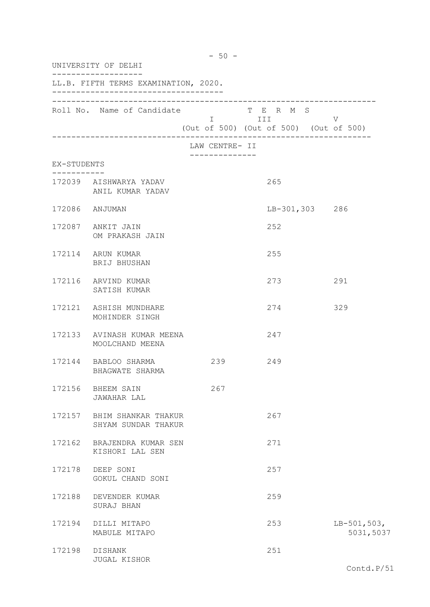| $-50 -$<br>UNIVERSITY OF DELHI |                                                   |                |                                                                |                            |  |
|--------------------------------|---------------------------------------------------|----------------|----------------------------------------------------------------|----------------------------|--|
|                                | LL.B. FIFTH TERMS EXAMINATION, 2020.              |                |                                                                |                            |  |
|                                | Roll No. Name of Candidate                        |                | T E R M S<br>I III V<br>(Out of 500) (Out of 500) (Out of 500) |                            |  |
|                                |                                                   | LAW CENTRE- II |                                                                |                            |  |
| EX-STUDENTS                    |                                                   | -------------  |                                                                |                            |  |
|                                | 172039 AISHWARYA YADAV<br>ANIL KUMAR YADAV        |                | 265                                                            |                            |  |
|                                | 172086 ANJUMAN                                    |                | LB-301,303 286                                                 |                            |  |
|                                | 172087 ANKIT JAIN<br>OM PRAKASH JAIN              |                | 252                                                            |                            |  |
|                                | 172114 ARUN KUMAR<br>BRIJ BHUSHAN                 |                | 255                                                            |                            |  |
|                                | 172116 ARVIND KUMAR<br>SATISH KUMAR               |                | 273                                                            | 291                        |  |
|                                | 172121 ASHISH MUNDHARE<br>MOHINDER SINGH          |                | 274                                                            | 329                        |  |
|                                | 172133 AVINASH KUMAR MEENA<br>MOOLCHAND MEENA     |                | 247                                                            |                            |  |
|                                | 172144 BABLOO SHARMA<br>BHAGWATE SHARMA           | 239            | 249                                                            |                            |  |
|                                | 172156 BHEEM SAIN<br><b>JAWAHAR LAL</b>           | 267            |                                                                |                            |  |
|                                | 172157 BHIM SHANKAR THAKUR<br>SHYAM SUNDAR THAKUR |                | 267                                                            |                            |  |
|                                | 172162 BRAJENDRA KUMAR SEN<br>KISHORI LAL SEN     |                | 271                                                            |                            |  |
|                                | 172178 DEEP SONI<br>GOKUL CHAND SONI              |                | 257                                                            |                            |  |
|                                | 172188 DEVENDER KUMAR<br>SURAJ BHAN               |                | 259                                                            |                            |  |
|                                | 172194 DILLI MITAPO<br>MABULE MITAPO              |                | 253                                                            | $LB-501,503,$<br>5031,5037 |  |
|                                | 172198 DISHANK<br>JUGAL KISHOR                    |                | 251                                                            |                            |  |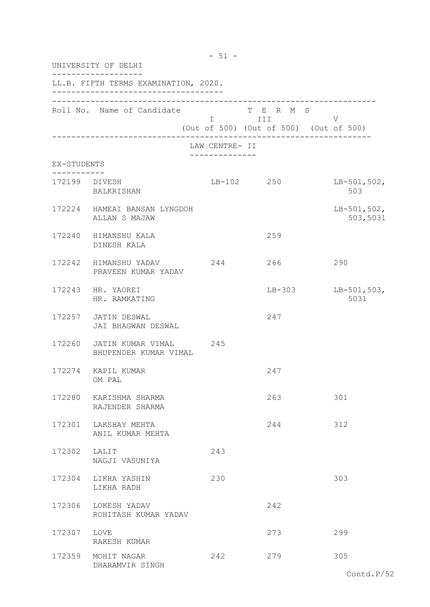|                                      | UNIVERSITY OF DELHI                                   |                                        |                      |                           |  |
|--------------------------------------|-------------------------------------------------------|----------------------------------------|----------------------|---------------------------|--|
| LL.B. FIFTH TERMS EXAMINATION, 2020. |                                                       |                                        |                      |                           |  |
|                                      | Roll No. Name of Candidate                            | (Out of 500) (Out of 500) (Out of 500) | T E R M S<br>I III V |                           |  |
|                                      |                                                       | LAW CENTRE- II                         |                      |                           |  |
| EX-STUDENTS                          |                                                       |                                        |                      |                           |  |
|                                      | 172199 DIVESH<br>BALKRISHAN                           | LB-102 250                             |                      | $LB-501,502,$<br>503      |  |
|                                      | 172224 HAMEAI BANSAN LYNGDOH<br>ALLAN S MAJAW         |                                        |                      | $LB-501,502,$<br>503,5031 |  |
|                                      | 172240 HIMANSHU KALA<br>DINESH KALA                   |                                        | 259                  |                           |  |
|                                      | 172242 HIMANSHU YADAV<br>PRAVEEN KUMAR YADAV          | 244                                    | 266                  | 290                       |  |
|                                      | 172243 HR. YAOREI<br>HR. RAMKATING                    |                                        | $LB-303$             | $LB-501,503,$<br>5031     |  |
|                                      | 172257 JATIN DESWAL<br>JAI BHAGWAN DESWAL             |                                        | 247                  |                           |  |
|                                      | 172260 JATIN KUMAR VIMAL 245<br>BHUPENDER KUMAR VIMAL |                                        |                      |                           |  |
|                                      | 172274 KAPIL KUMAR<br>OM PAL                          |                                        | 247                  |                           |  |
|                                      | 172280 KARISHMA SHARMA<br>RAJENDER SHARMA             |                                        | 263                  | 301                       |  |
| 172301                               | LAKSHAY MEHTA<br>ANIL KUMAR MEHTA                     |                                        | 244                  | 312                       |  |
| 172302                               | LALIT<br>NAGJI VASUNIYA                               | 243                                    |                      |                           |  |
| 172304                               | LIKHA YASHIN<br>LIKHA RADH                            | 230                                    |                      | 303                       |  |
| 172306                               | LOKESH YADAV<br>ROHITASH KUMAR YADAV                  |                                        | 242                  |                           |  |
| 172307                               | LOVE<br>RAKESH KUMAR                                  |                                        | 273                  | 299                       |  |
|                                      | 172359 MOHIT NAGAR<br>DHARAMVIR SINGH                 | 242                                    | 279                  | 305                       |  |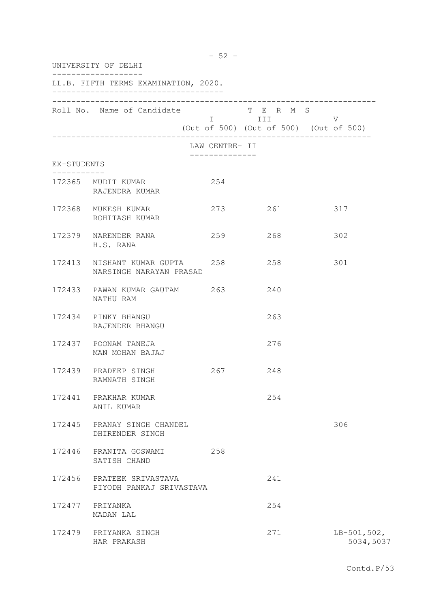| UNIVERSITY OF DELHI<br>LL.B. FIFTH TERMS EXAMINATION, 2020. |                                                           |                |             |                            |  |
|-------------------------------------------------------------|-----------------------------------------------------------|----------------|-------------|----------------------------|--|
|                                                             |                                                           |                |             |                            |  |
|                                                             |                                                           | LAW CENTRE- II |             |                            |  |
| EX-STUDENTS                                                 |                                                           |                |             |                            |  |
|                                                             | 172365 MUDIT KUMAR<br>RAJENDRA KUMAR                      | 254            |             |                            |  |
|                                                             | 172368 MUKESH KUMAR<br>ROHITASH KUMAR                     |                | 273 261 317 |                            |  |
|                                                             | 172379 NARENDER RANA<br>H.S. RANA                         | 259            | 268         | 302                        |  |
|                                                             | 172413 NISHANT KUMAR GUPTA 258<br>NARSINGH NARAYAN PRASAD |                | 258         | 301                        |  |
|                                                             | 172433 PAWAN KUMAR GAUTAM 263<br>NATHU RAM                |                | 240         |                            |  |
|                                                             | 172434 PINKY BHANGU<br>RAJENDER BHANGU                    |                | 263         |                            |  |
|                                                             | 172437 POONAM TANEJA<br>MAN MOHAN BAJAJ                   |                | 276         |                            |  |
|                                                             | 172439 PRADEEP SINGH<br>RAMNATH SINGH                     | 267            | 248         |                            |  |
|                                                             | 172441 PRAKHAR KUMAR<br>ANIL KUMAR                        |                | 254         |                            |  |
|                                                             | 172445 PRANAY SINGH CHANDEL<br>DHIRENDER SINGH            |                |             | 306                        |  |
|                                                             | 172446 PRANITA GOSWAMI<br>SATISH CHAND                    | 258            |             |                            |  |
|                                                             | 172456 PRATEEK SRIVASTAVA<br>PIYODH PANKAJ SRIVASTAVA     |                | 241         |                            |  |
|                                                             | 172477 PRIYANKA<br>MADAN LAL                              |                | 254         |                            |  |
|                                                             | 172479 PRIYANKA SINGH<br>HAR PRAKASH                      |                | 271         | $LB-501,502,$<br>5034,5037 |  |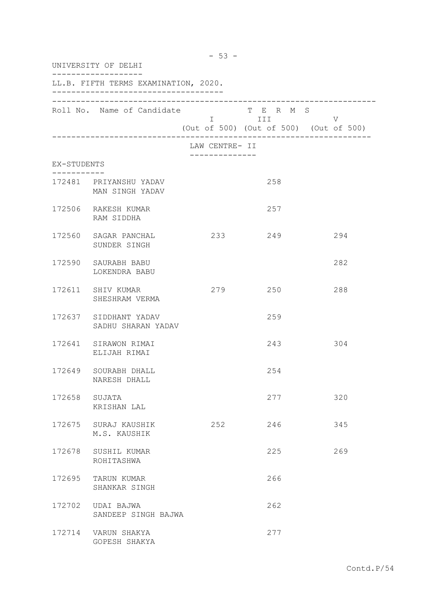| UNIVERSITY OF DELHI<br>LL.B. FIFTH TERMS EXAMINATION, 2020. |                                             |                |         |     |
|-------------------------------------------------------------|---------------------------------------------|----------------|---------|-----|
|                                                             |                                             |                |         |     |
|                                                             |                                             | LAW CENTRE- II |         |     |
| EX-STUDENTS                                                 |                                             | -------------- |         |     |
|                                                             | 172481 PRIYANSHU YADAV<br>MAN SINGH YADAV   |                | 258     |     |
|                                                             | 172506 RAKESH KUMAR<br>RAM SIDDHA           |                | 257     |     |
|                                                             | 172560 SAGAR PANCHAL<br>SUNDER SINGH        |                | 233 249 | 294 |
|                                                             | 172590 SAURABH BABU<br>LOKENDRA BABU        |                |         | 282 |
|                                                             | 172611 SHIV KUMAR<br>SHESHRAM VERMA         | 279            | 250     | 288 |
|                                                             | 172637 SIDDHANT YADAV<br>SADHU SHARAN YADAV |                | 259     |     |
|                                                             | 172641 SIRAWON RIMAI<br>ELIJAH RIMAI        |                | 243     | 304 |
|                                                             | 172649 SOURABH DHALL<br>NARESH DHALL        |                | 254     |     |
| 172658 SUJATA                                               | KRISHAN LAL                                 |                | 277     | 320 |
|                                                             | 172675 SURAJ KAUSHIK<br>M.S. KAUSHIK        | 252            | 246     | 345 |
|                                                             | 172678 SUSHIL KUMAR<br>ROHITASHWA           |                | 225     | 269 |
| 172695                                                      | TARUN KUMAR<br>SHANKAR SINGH                |                | 266     |     |
|                                                             | 172702 UDAI BAJWA<br>SANDEEP SINGH BAJWA    |                | 262     |     |
|                                                             | 172714 VARUN SHAKYA<br>GOPESH SHAKYA        |                | 277     |     |